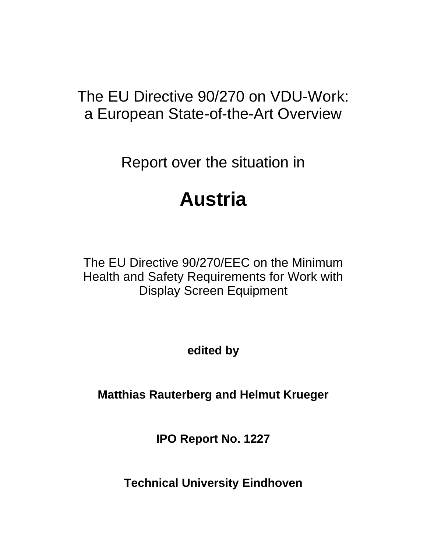# The EU Directive 90/270 on VDU-Work: a European State-of-the-Art Overview

Report over the situation in

# **Austria**

The EU Directive 90/270/EEC on the Minimum Health and Safety Requirements for Work with Display Screen Equipment

**edited by**

**Matthias Rauterberg and Helmut Krueger**

**IPO Report No. 1227**

**Technical University Eindhoven**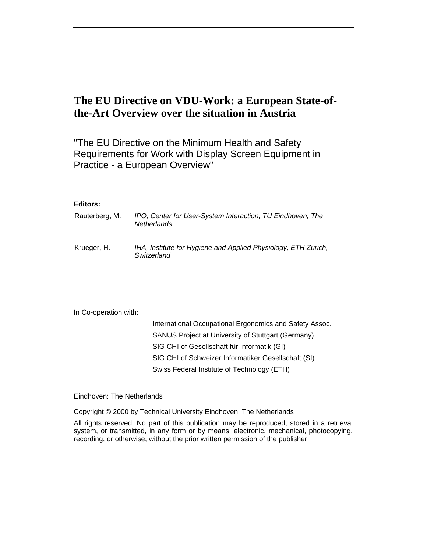## **The EU Directive on VDU-Work: a European State-ofthe-Art Overview over the situation in Austria**

"The EU Directive on the Minimum Health and Safety Requirements for Work with Display Screen Equipment in Practice - a European Overview"

### **Editors:**

| Rauterberg, M. | IPO, Center for User-System Interaction, TU Eindhoven, The<br><b>Netherlands</b> |
|----------------|----------------------------------------------------------------------------------|
| Krueger, H.    | IHA, Institute for Hygiene and Applied Physiology, ETH Zurich,<br>Switzerland    |

In Co-operation with:

| International Occupational Ergonomics and Safety Assoc. |
|---------------------------------------------------------|
| SANUS Project at University of Stuttgart (Germany)      |
| SIG CHI of Gesellschaft für Informatik (GI)             |
| SIG CHI of Schweizer Informatiker Gesellschaft (SI)     |
| Swiss Federal Institute of Technology (ETH)             |

Eindhoven: The Netherlands

Copyright © 2000 by Technical University Eindhoven, The Netherlands

All rights reserved. No part of this publication may be reproduced, stored in a retrieval system, or transmitted, in any form or by means, electronic, mechanical, photocopying, recording, or otherwise, without the prior written permission of the publisher.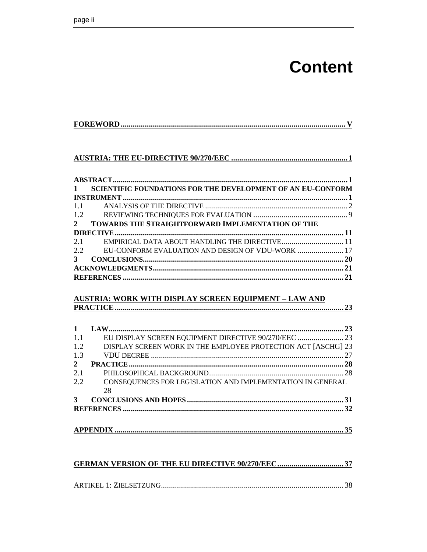# **Content**

|--|

### 

| $\mathbf{1}$ | <b>SCIENTIFIC FOUNDATIONS FOR THE DEVELOPMENT OF AN EU-CONFORM</b> |  |
|--------------|--------------------------------------------------------------------|--|
|              |                                                                    |  |
| 1.1          |                                                                    |  |
| 1.2          |                                                                    |  |
| $2^{\circ}$  | <b>TOWARDS THE STRAIGHTFORWARD IMPLEMENTATION OF THE</b>           |  |
|              |                                                                    |  |
| 2.1          | EMPIRICAL DATA ABOUT HANDLING THE DIRECTIVE 11                     |  |
|              | 2.2 EU-CONFORM EVALUATION AND DESIGN OF VDU-WORK  17               |  |
| $\mathbf{3}$ |                                                                    |  |
|              |                                                                    |  |
|              |                                                                    |  |

### **AUSTRIA: WORK WITH DISPLAY SCREEN EQUIPMENT - LAW AND**

| EU DISPLAY SCREEN EQUIPMENT DIRECTIVE 90/270/EEC  23          |
|---------------------------------------------------------------|
| DISPLAY SCREEN WORK IN THE EMPLOYEE PROTECTION ACT [ASCHG] 23 |
|                                                               |
|                                                               |
|                                                               |
| CONSEQUENCES FOR LEGISLATION AND IMPLEMENTATION IN GENERAL    |
|                                                               |
|                                                               |
|                                                               |
|                                                               |
|                                                               |
|                                                               |
|                                                               |

#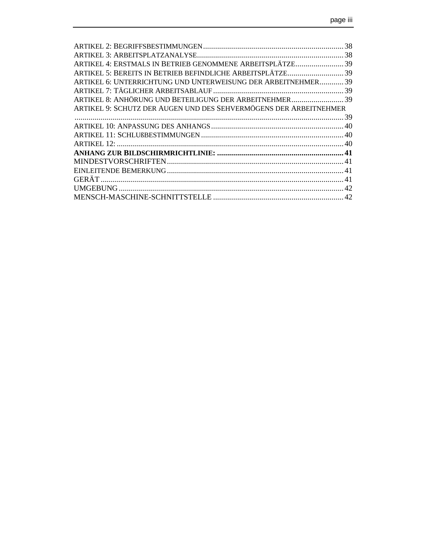| ARTIKEL 4: ERSTMALS IN BETRIEB GENOMMENE ARBEITSPLÄTZE 39         |  |
|-------------------------------------------------------------------|--|
| ARTIKEL 5: BEREITS IN BETRIEB BEFINDLICHE ARBEITSPLÄTZE39         |  |
| ARTIKEL 6: UNTERRICHTUNG UND UNTERWEISUNG DER ARBEITNEHMER 39     |  |
|                                                                   |  |
| ARTIKEL 8: ANHÖRUNG UND BETEILIGUNG DER ARBEITNEHMER 39           |  |
| ARTIKEL 9: SCHUTZ DER AUGEN UND DES SEHVERMÖGENS DER ARBEITNEHMER |  |
|                                                                   |  |
|                                                                   |  |
|                                                                   |  |
|                                                                   |  |
|                                                                   |  |
|                                                                   |  |
|                                                                   |  |
|                                                                   |  |
|                                                                   |  |
|                                                                   |  |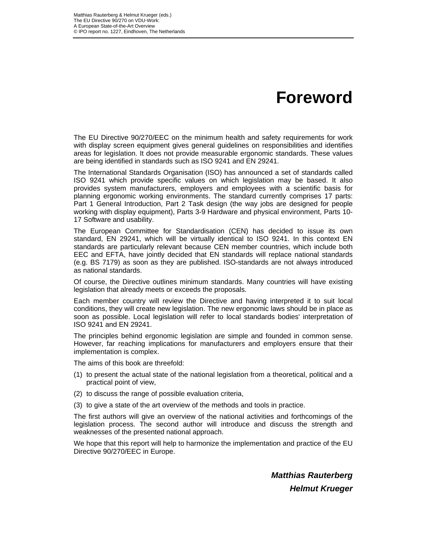# **Foreword**

The EU Directive 90/270/EEC on the minimum health and safety requirements for work with display screen equipment gives general guidelines on responsibilities and identifies areas for legislation. It does not provide measurable ergonomic standards. These values are being identified in standards such as ISO 9241 and EN 29241.

The International Standards Organisation (ISO) has announced a set of standards called ISO 9241 which provide specific values on which legislation may be based. It also provides system manufacturers, employers and employees with a scientific basis for planning ergonomic working environments. The standard currently comprises 17 parts: Part 1 General Introduction, Part 2 Task design (the way jobs are designed for people working with display equipment), Parts 3-9 Hardware and physical environment, Parts 10- 17 Software and usability.

The European Committee for Standardisation (CEN) has decided to issue its own standard, EN 29241, which will be virtually identical to ISO 9241. In this context EN standards are particularly relevant because CEN member countries, which include both EEC and EFTA, have jointly decided that EN standards will replace national standards (e.g. BS 7179) as soon as they are published. ISO-standards are not always introduced as national standards.

Of course, the Directive outlines minimum standards. Many countries will have existing legislation that already meets or exceeds the proposals.

Each member country will review the Directive and having interpreted it to suit local conditions, they will create new legislation. The new ergonomic laws should be in place as soon as possible. Local legislation will refer to local standards bodies' interpretation of ISO 9241 and EN 29241.

The principles behind ergonomic legislation are simple and founded in common sense. However, far reaching implications for manufacturers and employers ensure that their implementation is complex.

The aims of this book are threefold:

- (1) to present the actual state of the national legislation from a theoretical, political and a practical point of view,
- (2) to discuss the range of possible evaluation criteria,
- (3) to give a state of the art overview of the methods and tools in practice.

The first authors will give an overview of the national activities and forthcomings of the legislation process. The second author will introduce and discuss the strength and weaknesses of the presented national approach.

We hope that this report will help to harmonize the implementation and practice of the EU Directive 90/270/EEC in Europe.

> *Matthias Rauterberg Helmut Krueger*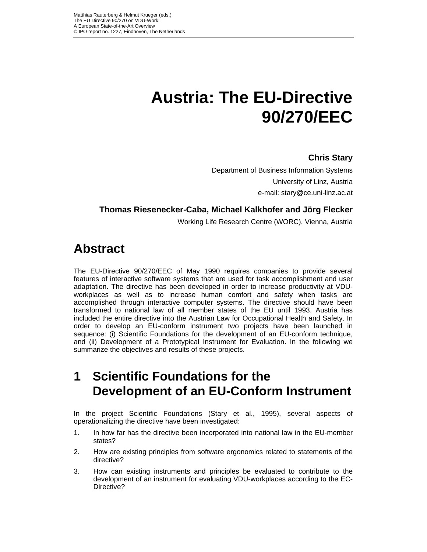# **Austria: The EU-Directive 90/270/EEC**

## **Chris Stary**

Department of Business Information Systems University of Linz, Austria e-mail: stary@ce.uni-linz.ac.at

## **Thomas Riesenecker-Caba, Michael Kalkhofer and Jörg Flecker**

Working Life Research Centre (WORC), Vienna, Austria

## **Abstract**

The EU-Directive 90/270/EEC of May 1990 requires companies to provide several features of interactive software systems that are used for task accomplishment and user adaptation. The directive has been developed in order to increase productivity at VDUworkplaces as well as to increase human comfort and safety when tasks are accomplished through interactive computer systems. The directive should have been transformed to national law of all member states of the EU until 1993. Austria has included the entire directive into the Austrian Law for Occupational Health and Safety. In order to develop an EU-conform instrument two projects have been launched in sequence: (i) Scientific Foundations for the development of an EU-conform technique, and (ii) Development of a Prototypical Instrument for Evaluation. In the following we summarize the objectives and results of these projects.

## **1 Scientific Foundations for the Development of an EU-Conform Instrument**

In the project Scientific Foundations (Stary et al., 1995), several aspects of operationalizing the directive have been investigated:

- 1. In how far has the directive been incorporated into national law in the EU-member states?
- 2. How are existing principles from software ergonomics related to statements of the directive?
- 3. How can existing instruments and principles be evaluated to contribute to the development of an instrument for evaluating VDU-workplaces according to the EC-Directive?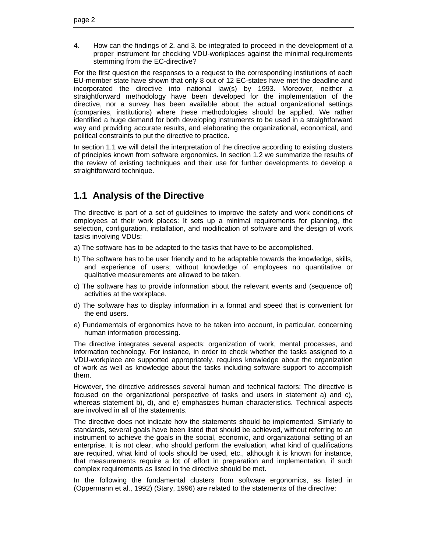4. How can the findings of 2. and 3. be integrated to proceed in the development of a proper instrument for checking VDU-workplaces against the minimal requirements stemming from the EC-directive?

For the first question the responses to a request to the corresponding institutions of each EU-member state have shown that only 8 out of 12 EC-states have met the deadline and incorporated the directive into national law(s) by 1993. Moreover, neither a straightforward methodology have been developed for the implementation of the directive, nor a survey has been available about the actual organizational settings (companies, institutions) where these methodologies should be applied. We rather identified a huge demand for both developing instruments to be used in a straightforward way and providing accurate results, and elaborating the organizational, economical, and political constraints to put the directive to practice.

In section 1.1 we will detail the interpretation of the directive according to existing clusters of principles known from software ergonomics. In section 1.2 we summarize the results of the review of existing techniques and their use for further developments to develop a straightforward technique.

## **1.1 Analysis of the Directive**

The directive is part of a set of guidelines to improve the safety and work conditions of employees at their work places: It sets up a minimal requirements for planning, the selection, configuration, installation, and modification of software and the design of work tasks involving VDUs:

- a) The software has to be adapted to the tasks that have to be accomplished.
- b) The software has to be user friendly and to be adaptable towards the knowledge, skills, and experience of users; without knowledge of employees no quantitative or qualitative measurements are allowed to be taken.
- c) The software has to provide information about the relevant events and (sequence of) activities at the workplace.
- d) The software has to display information in a format and speed that is convenient for the end users.
- e) Fundamentals of ergonomics have to be taken into account, in particular, concerning human information processing.

The directive integrates several aspects: organization of work, mental processes, and information technology. For instance, in order to check whether the tasks assigned to a VDU-workplace are supported appropriately, requires knowledge about the organization of work as well as knowledge about the tasks including software support to accomplish them.

However, the directive addresses several human and technical factors: The directive is focused on the organizational perspective of tasks and users in statement a) and c), whereas statement b), d), and e) emphasizes human characteristics. Technical aspects are involved in all of the statements.

The directive does not indicate how the statements should be implemented. Similarly to standards, several goals have been listed that should be achieved, without referring to an instrument to achieve the goals in the social, economic, and organizational setting of an enterprise. It is not clear, who should perform the evaluation, what kind of qualifications are required, what kind of tools should be used, etc., although it is known for instance, that measurements require a lot of effort in preparation and implementation, if such complex requirements as listed in the directive should be met.

In the following the fundamental clusters from software ergonomics, as listed in (Oppermann et al., 1992) (Stary, 1996) are related to the statements of the directive: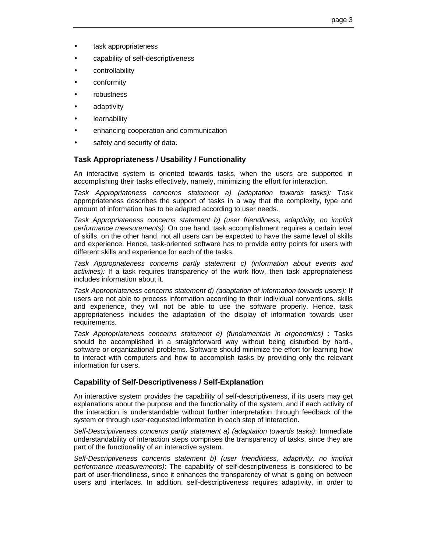- task appropriateness
- capability of self-descriptiveness
- controllability
- conformity
- robustness
- adaptivity
- **learnability**
- enhancing cooperation and communication
- safety and security of data.

### **Task Appropriateness / Usability / Functionality**

An interactive system is oriented towards tasks, when the users are supported in accomplishing their tasks effectively, namely, minimizing the effort for interaction.

*Task Appropriateness concerns statement a) (adaptation towards tasks):* Task appropriateness describes the support of tasks in a way that the complexity, type and amount of information has to be adapted according to user needs.

*Task Appropriateness concerns statement b) (user friendliness, adaptivity, no implicit performance measurements):* On one hand, task accomplishment requires a certain level of skills, on the other hand, not all users can be expected to have the same level of skills and experience. Hence, task-oriented software has to provide entry points for users with different skills and experience for each of the tasks.

*Task Appropriateness concerns partly statement c) (information about events and activities):* If a task requires transparency of the work flow, then task appropriateness includes information about it.

*Task Appropriateness concerns statement d) (adaptation of information towards users):* If users are not able to process information according to their individual conventions, skills and experience, they will not be able to use the software properly. Hence, task appropriateness includes the adaptation of the display of information towards user requirements.

*Task Appropriateness concerns statement e) (fundamentals in ergonomics)* : Tasks should be accomplished in a straightforward way without being disturbed by hard-, software or organizational problems. Software should minimize the effort for learning how to interact with computers and how to accomplish tasks by providing only the relevant information for users.

### **Capability of Self-Descriptiveness / Self-Explanation**

An interactive system provides the capability of self-descriptiveness, if its users may get explanations about the purpose and the functionality of the system, and if each activity of the interaction is understandable without further interpretation through feedback of the system or through user-requested information in each step of interaction.

*Self-Descriptiveness concerns partly statement a) (adaptation towards tasks)*: Immediate understandability of interaction steps comprises the transparency of tasks, since they are part of the functionality of an interactive system.

*Self-Descriptiveness concerns statement b) (user friendliness, adaptivity, no implicit performance measurements)*: The capability of self-descriptiveness is considered to be part of user-friendliness, since it enhances the transparency of what is going on between users and interfaces. In addition, self-descriptiveness requires adaptivity, in order to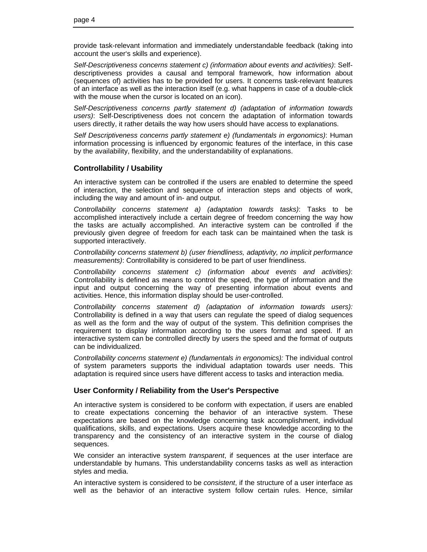provide task-relevant information and immediately understandable feedback (taking into account the user's skills and experience).

*Self-Descriptiveness concerns statement c) (information about events and activities)*: Selfdescriptiveness provides a causal and temporal framework, how information about (sequences of) activities has to be provided for users. It concerns task-relevant features of an interface as well as the interaction itself (e.g. what happens in case of a double-click with the mouse when the cursor is located on an icon).

*Self-Descriptiveness concerns partly statement d) (adaptation of information towards users)*: Self-Descriptiveness does not concern the adaptation of information towards users directly, it rather details the way how users should have access to explanations.

*Self Descriptiveness concerns partly statement e) (fundamentals in ergonomics)*: Human information processing is influenced by ergonomic features of the interface, in this case by the availability, flexibility, and the understandability of explanations.

### **Controllability / Usability**

An interactive system can be controlled if the users are enabled to determine the speed of interaction, the selection and sequence of interaction steps and objects of work, including the way and amount of in- and output.

*Controllability concerns statement a) (adaptation towards tasks)*: Tasks to be accomplished interactively include a certain degree of freedom concerning the way how the tasks are actually accomplished. An interactive system can be controlled if the previously given degree of freedom for each task can be maintained when the task is supported interactively.

*Controllability concerns statement b) (user friendliness, adaptivity, no implicit performance measurements)*: Controllability is considered to be part of user friendliness.

*Controllability concerns statement c) (information about events and activities)*: Controllability is defined as means to control the speed, the type of information and the input and output concerning the way of presenting information about events and activities. Hence, this information display should be user-controlled.

*Controllability concerns statement d) (adaptation of information towards users):* Controllability is defined in a way that users can regulate the speed of dialog sequences as well as the form and the way of output of the system. This definition comprises the requirement to display information according to the users format and speed. If an interactive system can be controlled directly by users the speed and the format of outputs can be individualized.

*Controllability concerns statement e) (fundamentals in ergonomics):* The individual control of system parameters supports the individual adaptation towards user needs. This adaptation is required since users have different access to tasks and interaction media.

### **User Conformity / Reliability from the User's Perspective**

An interactive system is considered to be conform with expectation, if users are enabled to create expectations concerning the behavior of an interactive system. These expectations are based on the knowledge concerning task accomplishment, individual qualifications, skills, and expectations. Users acquire these knowledge according to the transparency and the consistency of an interactive system in the course of dialog sequences.

We consider an interactive system *transparent*, if sequences at the user interface are understandable by humans. This understandability concerns tasks as well as interaction styles and media.

An interactive system is considered to be *consistent*, if the structure of a user interface as well as the behavior of an interactive system follow certain rules. Hence, similar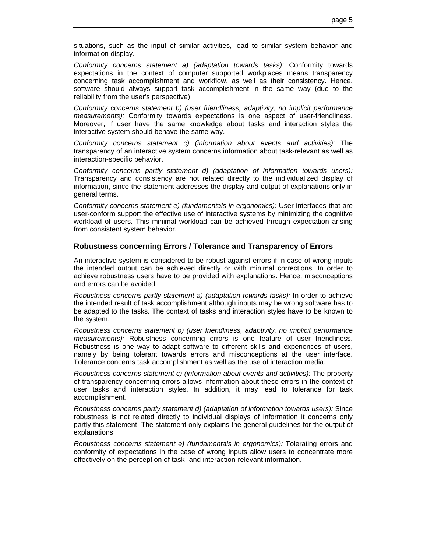situations, such as the input of similar activities, lead to similar system behavior and information display.

*Conformity concerns statement a) (adaptation towards tasks):* Conformity towards expectations in the context of computer supported workplaces means transparency concerning task accomplishment and workflow, as well as their consistency. Hence, software should always support task accomplishment in the same way (due to the reliability from the user's perspective).

*Conformity concerns statement b) (user friendliness, adaptivity, no implicit performance measurements):* Conformity towards expectations is one aspect of user-friendliness. Moreover, if user have the same knowledge about tasks and interaction styles the interactive system should behave the same way.

*Conformity concerns statement c) (information about events and activities):* The transparency of an interactive system concerns information about task-relevant as well as interaction-specific behavior.

*Conformity concerns partly statement d) (adaptation of information towards users):* Transparency and consistency are not related directly to the individualized display of information, since the statement addresses the display and output of explanations only in general terms.

*Conformity concerns statement e) (fundamentals in ergonomics):* User interfaces that are user-conform support the effective use of interactive systems by minimizing the cognitive workload of users. This minimal workload can be achieved through expectation arising from consistent system behavior.

### **Robustness concerning Errors / Tolerance and Transparency of Errors**

An interactive system is considered to be robust against errors if in case of wrong inputs the intended output can be achieved directly or with minimal corrections. In order to achieve robustness users have to be provided with explanations. Hence, misconceptions and errors can be avoided.

*Robustness concerns partly statement a) (adaptation towards tasks):* In order to achieve the intended result of task accomplishment although inputs may be wrong software has to be adapted to the tasks. The context of tasks and interaction styles have to be known to the system.

*Robustness concerns statement b) (user friendliness, adaptivity, no implicit performance measurements):* Robustness concerning errors is one feature of user friendliness. Robustness is one way to adapt software to different skills and experiences of users, namely by being tolerant towards errors and misconceptions at the user interface. Tolerance concerns task accomplishment as well as the use of interaction media.

*Robustness concerns statement c) (information about events and activities):* The property of transparency concerning errors allows information about these errors in the context of user tasks and interaction styles. In addition, it may lead to tolerance for task accomplishment.

*Robustness concerns partly statement d) (adaptation of information towards users):* Since robustness is not related directly to individual displays of information it concerns only partly this statement. The statement only explains the general guidelines for the output of explanations.

*Robustness concerns statement e) (fundamentals in ergonomics):* Tolerating errors and conformity of expectations in the case of wrong inputs allow users to concentrate more effectively on the perception of task- and interaction-relevant information.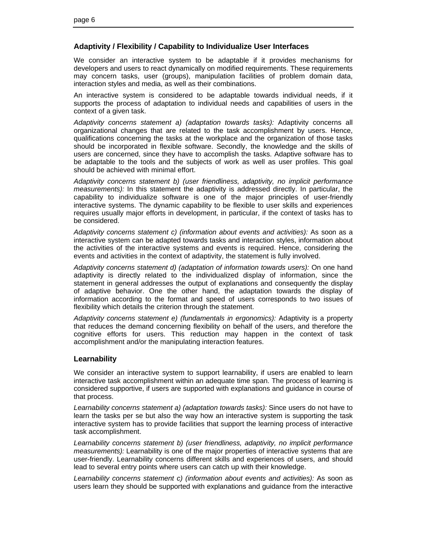### **Adaptivity / Flexibility / Capability to Individualize User Interfaces**

We consider an interactive system to be adaptable if it provides mechanisms for developers and users to react dynamically on modified requirements. These requirements may concern tasks, user (groups), manipulation facilities of problem domain data, interaction styles and media, as well as their combinations.

An interactive system is considered to be adaptable towards individual needs, if it supports the process of adaptation to individual needs and capabilities of users in the context of a given task.

*Adaptivity concerns statement a) (adaptation towards tasks):* Adaptivity concerns all organizational changes that are related to the task accomplishment by users. Hence, qualifications concerning the tasks at the workplace and the organization of those tasks should be incorporated in flexible software. Secondly, the knowledge and the skills of users are concerned, since they have to accomplish the tasks. Adaptive software has to be adaptable to the tools and the subjects of work as well as user profiles. This goal should be achieved with minimal effort.

*Adaptivity concerns statement b) (user friendliness, adaptivity, no implicit performance measurements):* In this statement the adaptivity is addressed directly. In particular, the capability to individualize software is one of the major principles of user-friendly interactive systems. The dynamic capability to be flexible to user skills and experiences requires usually major efforts in development, in particular, if the context of tasks has to be considered.

*Adaptivity concerns statement c) (information about events and activities):* As soon as a interactive system can be adapted towards tasks and interaction styles, information about the activities of the interactive systems and events is required. Hence, considering the events and activities in the context of adaptivity, the statement is fully involved.

*Adaptivity concerns statement d) (adaptation of information towards users):* On one hand adaptivity is directly related to the individualized display of information, since the statement in general addresses the output of explanations and consequently the display of adaptive behavior. One the other hand, the adaptation towards the display of information according to the format and speed of users corresponds to two issues of flexibility which details the criterion through the statement.

*Adaptivity concerns statement e) (fundamentals in ergonomics):* Adaptivity is a property that reduces the demand concerning flexibility on behalf of the users, and therefore the cognitive efforts for users. This reduction may happen in the context of task accomplishment and/or the manipulating interaction features.

### **Learnability**

We consider an interactive system to support learnability, if users are enabled to learn interactive task accomplishment within an adequate time span. The process of learning is considered supportive, if users are supported with explanations and guidance in course of that process.

*Learnability concerns statement a) (adaptation towards tasks):* Since users do not have to learn the tasks per se but also the way how an interactive system is supporting the task interactive system has to provide facilities that support the learning process of interactive task accomplishment.

*Learnability concerns statement b) (user friendliness, adaptivity, no implicit performance measurements):* Learnability is one of the major properties of interactive systems that are user-friendly. Learnability concerns different skills and experiences of users, and should lead to several entry points where users can catch up with their knowledge.

Learnability concerns statement c) (information about events and activities): As soon as users learn they should be supported with explanations and guidance from the interactive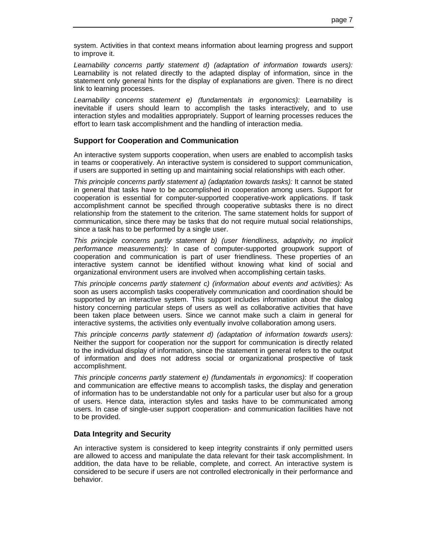system. Activities in that context means information about learning progress and support to improve it.

*Learnability concerns partly statement d) (adaptation of information towards users):* Learnability is not related directly to the adapted display of information, since in the statement only general hints for the display of explanations are given. There is no direct link to learning processes.

Learnability concerns statement e) (fundamentals in ergonomics): Learnability is inevitable if users should learn to accomplish the tasks interactively, and to use interaction styles and modalities appropriately. Support of learning processes reduces the effort to learn task accomplishment and the handling of interaction media.

### **Support for Cooperation and Communication**

An interactive system supports cooperation, when users are enabled to accomplish tasks in teams or cooperatively. An interactive system is considered to support communication, if users are supported in setting up and maintaining social relationships with each other.

*This principle concerns partly statement a) (adaptation towards tasks):* It cannot be stated in general that tasks have to be accomplished in cooperation among users. Support for cooperation is essential for computer-supported cooperative-work applications. If task accomplishment cannot be specified through cooperative subtasks there is no direct relationship from the statement to the criterion. The same statement holds for support of communication, since there may be tasks that do not require mutual social relationships, since a task has to be performed by a single user.

*This principle concerns partly statement b) (user friendliness, adaptivity, no implicit performance measurements):* In case of computer-supported groupwork support of cooperation and communication is part of user friendliness. These properties of an interactive system cannot be identified without knowing what kind of social and organizational environment users are involved when accomplishing certain tasks.

*This principle concerns partly statement c) (information about events and activities):* As soon as users accomplish tasks cooperatively communication and coordination should be supported by an interactive system. This support includes information about the dialog history concerning particular steps of users as well as collaborative activities that have been taken place between users. Since we cannot make such a claim in general for interactive systems, the activities only eventually involve collaboration among users.

*This principle concerns partly statement d) (adaptation of information towards users):* Neither the support for cooperation nor the support for communication is directly related to the individual display of information, since the statement in general refers to the output of information and does not address social or organizational prospective of task accomplishment.

*This principle concerns partly statement e) (fundamentals in ergonomics):* If cooperation and communication are effective means to accomplish tasks, the display and generation of information has to be understandable not only for a particular user but also for a group of users. Hence data, interaction styles and tasks have to be communicated among users. In case of single-user support cooperation- and communication facilities have not to be provided.

### **Data Integrity and Security**

An interactive system is considered to keep integrity constraints if only permitted users are allowed to access and manipulate the data relevant for their task accomplishment. In addition, the data have to be reliable, complete, and correct. An interactive system is considered to be secure if users are not controlled electronically in their performance and behavior.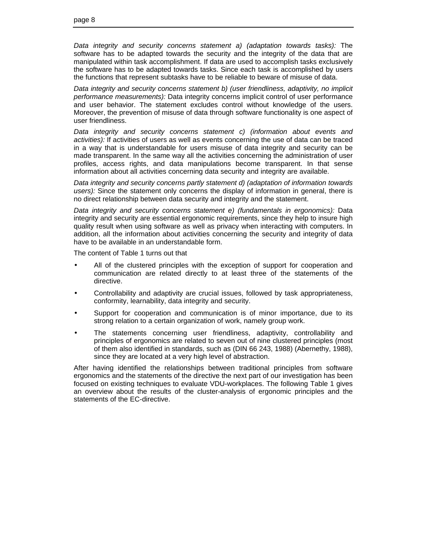*Data integrity and security concerns statement a) (adaptation towards tasks):* The software has to be adapted towards the security and the integrity of the data that are manipulated within task accomplishment. If data are used to accomplish tasks exclusively the software has to be adapted towards tasks. Since each task is accomplished by users the functions that represent subtasks have to be reliable to beware of misuse of data.

*Data integrity and security concerns statement b) (user friendliness, adaptivity, no implicit performance measurements):* Data integrity concerns implicit control of user performance and user behavior. The statement excludes control without knowledge of the users. Moreover, the prevention of misuse of data through software functionality is one aspect of user friendliness.

*Data integrity and security concerns statement c) (information about events and activities):* If activities of users as well as events concerning the use of data can be traced in a way that is understandable for users misuse of data integrity and security can be made transparent. In the same way all the activities concerning the administration of user profiles, access rights, and data manipulations become transparent. In that sense information about all activities concerning data security and integrity are available.

*Data integrity and security concerns partly statement d) (adaptation of information towards users):* Since the statement only concerns the display of information in general, there is no direct relationship between data security and integrity and the statement.

*Data integrity and security concerns statement e) (fundamentals in ergonomics):* Data integrity and security are essential ergonomic requirements, since they help to insure high quality result when using software as well as privacy when interacting with computers. In addition, all the information about activities concerning the security and integrity of data have to be available in an understandable form.

The content of Table 1 turns out that

- All of the clustered principles with the exception of support for cooperation and communication are related directly to at least three of the statements of the directive.
- Controllability and adaptivity are crucial issues, followed by task appropriateness, conformity, learnability, data integrity and security.
- Support for cooperation and communication is of minor importance, due to its strong relation to a certain organization of work, namely group work.
- The statements concerning user friendliness, adaptivity, controllability and principles of ergonomics are related to seven out of nine clustered principles (most of them also identified in standards, such as (DIN 66 243, 1988) (Abernethy, 1988), since they are located at a very high level of abstraction.

After having identified the relationships between traditional principles from software ergonomics and the statements of the directive the next part of our investigation has been focused on existing techniques to evaluate VDU-workplaces. The following Table 1 gives an overview about the results of the cluster-analysis of ergonomic principles and the statements of the EC-directive.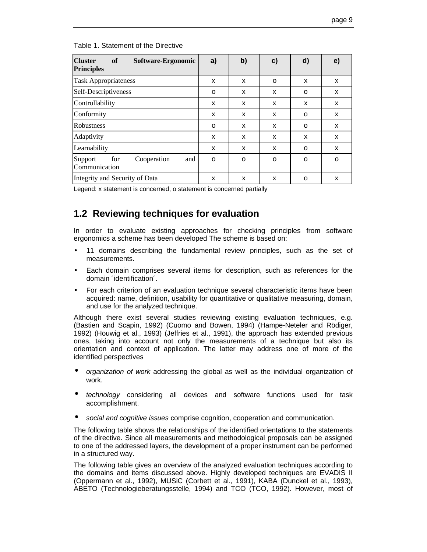| <b>Cluster</b><br>of<br>Software-Ergonomic<br><b>Principles</b> | a)       | b) | c) | d)       | e) |
|-----------------------------------------------------------------|----------|----|----|----------|----|
| <b>Task Appropriateness</b>                                     | X        | X  | 0  | X        | X  |
| Self-Descriptiveness                                            | O        | x  | X  | o        | X  |
| Controllability                                                 | X        | X  | X  | X        | X  |
| Conformity                                                      | X        | X  | X  | $\Omega$ | X  |
| Robustness                                                      | O        | x  | X  | O        | X  |
| Adaptivity                                                      | X        | x  | X  | X        | X  |
| Learnability                                                    | X        | X  | X  | $\Omega$ | X  |
| for<br>Cooperation<br>Support<br>and<br>Communication           | $\Omega$ | O  | 0  | $\Omega$ | O  |
| Integrity and Security of Data                                  | X        | X  | X  | O        | X  |

Table 1. Statement of the Directive

Legend: x statement is concerned, o statement is concerned partially

## **1.2 Reviewing techniques for evaluation**

In order to evaluate existing approaches for checking principles from software ergonomics a scheme has been developed The scheme is based on:

- 11 domains describing the fundamental review principles, such as the set of measurements.
- Each domain comprises several items for description, such as references for the domain ´identification´.
- For each criterion of an evaluation technique several characteristic items have been acquired: name, definition, usability for quantitative or qualitative measuring, domain, and use for the analyzed technique.

Although there exist several studies reviewing existing evaluation techniques, e.g. (Bastien and Scapin, 1992) (Cuomo and Bowen, 1994) (Hampe-Neteler and Rödiger, 1992) (Houwig et al., 1993) (Jeffries et al., 1991), the approach has extended previous ones, taking into account not only the measurements of a technique but also its orientation and context of application. The latter may address one of more of the identified perspectives

- *organization of work* addressing the global as well as the individual organization of work.
- *technology* considering all devices and software functions used for task accomplishment.
- *social and cognitive issues* comprise cognition, cooperation and communication.

The following table shows the relationships of the identified orientations to the statements of the directive. Since all measurements and methodological proposals can be assigned to one of the addressed layers, the development of a proper instrument can be performed in a structured way.

The following table gives an overview of the analyzed evaluation techniques according to the domains and items discussed above. Highly developed techniques are EVADIS II (Oppermann et al., 1992), MUSiC (Corbett et al., 1991), KABA (Dunckel et al., 1993), ABETO (Technologieberatungsstelle, 1994) and TCO (TCO, 1992). However, most of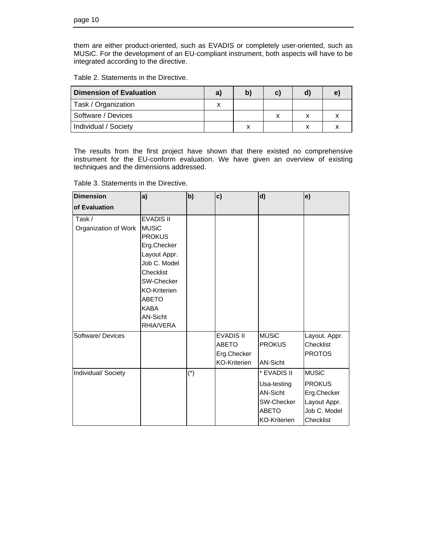them are either product-oriented, such as EVADIS or completely user-oriented, such as MUSiC. For the development of an EU-compliant instrument, both aspects will have to be integrated according to the directive.

| Dimension of Evaluation | a) | D | C. | е |
|-------------------------|----|---|----|---|
| Task / Organization     |    |   |    |   |
| Software / Devices      |    |   |    |   |
| Individual / Society    |    |   |    |   |

The results from the first project have shown that there existed no comprehensive instrument for the EU-conform evaluation. We have given an overview of existing techniques and the dimensions addressed.

Table 3. Statements in the Directive.

| <b>Dimension</b>     | a)                | b)    | c)                  | d)                  | e)            |
|----------------------|-------------------|-------|---------------------|---------------------|---------------|
| of Evaluation        |                   |       |                     |                     |               |
| Task /               | <b>EVADIS II</b>  |       |                     |                     |               |
| Organization of Work | <b>MUSiC</b>      |       |                     |                     |               |
|                      | <b>PROKUS</b>     |       |                     |                     |               |
|                      | Erg.Checker       |       |                     |                     |               |
|                      | Layout Appr.      |       |                     |                     |               |
|                      | Job C. Model      |       |                     |                     |               |
|                      | Checklist         |       |                     |                     |               |
|                      | <b>SW-Checker</b> |       |                     |                     |               |
|                      | KO-Kriterien      |       |                     |                     |               |
|                      | <b>ABETO</b>      |       |                     |                     |               |
|                      | <b>KABA</b>       |       |                     |                     |               |
|                      | AN-Sicht          |       |                     |                     |               |
|                      | RHIA/VERA         |       |                     |                     |               |
| Software/Devices     |                   |       | <b>EVADIS II</b>    | <b>MUSiC</b>        | Layout. Appr. |
|                      |                   |       | <b>ABETO</b>        | <b>PROKUS</b>       | Checklist     |
|                      |                   |       | Erg.Checker         |                     | <b>PROTOS</b> |
|                      |                   |       | <b>KO-Kriterien</b> | AN-Sicht            |               |
| Individual/Society   |                   | $(*)$ |                     | * EVADIS II         | <b>MUSiC</b>  |
|                      |                   |       |                     | Usa-testing         | <b>PROKUS</b> |
|                      |                   |       |                     | AN-Sicht            | Erg.Checker   |
|                      |                   |       |                     | SW-Checker          | Layout Appr.  |
|                      |                   |       |                     | <b>ABETO</b>        | Job C. Model  |
|                      |                   |       |                     | <b>KO-Kriterien</b> | Checklist     |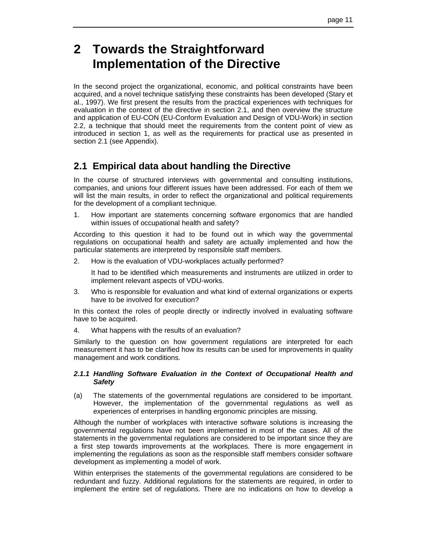## **2 Towards the Straightforward Implementation of the Directive**

In the second project the organizational, economic, and political constraints have been acquired, and a novel technique satisfying these constraints has been developed (Stary et al., 1997). We first present the results from the practical experiences with techniques for evaluation in the context of the directive in section 2.1, and then overview the structure and application of EU-CON (EU-Conform Evaluation and Design of VDU-Work) in section 2.2, a technique that should meet the requirements from the content point of view as introduced in section 1, as well as the requirements for practical use as presented in section 2.1 (see Appendix).

## **2.1 Empirical data about handling the Directive**

In the course of structured interviews with governmental and consulting institutions, companies, and unions four different issues have been addressed. For each of them we will list the main results, in order to reflect the organizational and political requirements for the development of a compliant technique.

1. How important are statements concerning software ergonomics that are handled within issues of occupational health and safety?

According to this question it had to be found out in which way the governmental regulations on occupational health and safety are actually implemented and how the particular statements are interpreted by responsible staff members.

2. How is the evaluation of VDU-workplaces actually performed?

It had to be identified which measurements and instruments are utilized in order to implement relevant aspects of VDU-works.

3. Who is responsible for evaluation and what kind of external organizations or experts have to be involved for execution?

In this context the roles of people directly or indirectly involved in evaluating software have to be acquired.

4. What happens with the results of an evaluation?

Similarly to the question on how government regulations are interpreted for each measurement it has to be clarified how its results can be used for improvements in quality management and work conditions.

### *2.1.1 Handling Software Evaluation in the Context of Occupational Health and Safety*

(a) The statements of the governmental regulations are considered to be important. However, the implementation of the governmental regulations as well as experiences of enterprises in handling ergonomic principles are missing.

Although the number of workplaces with interactive software solutions is increasing the governmental regulations have not been implemented in most of the cases. All of the statements in the governmental regulations are considered to be important since they are a first step towards improvements at the workplaces. There is more engagement in implementing the regulations as soon as the responsible staff members consider software development as implementing a model of work.

Within enterprises the statements of the governmental regulations are considered to be redundant and fuzzy. Additional regulations for the statements are required, in order to implement the entire set of regulations. There are no indications on how to develop a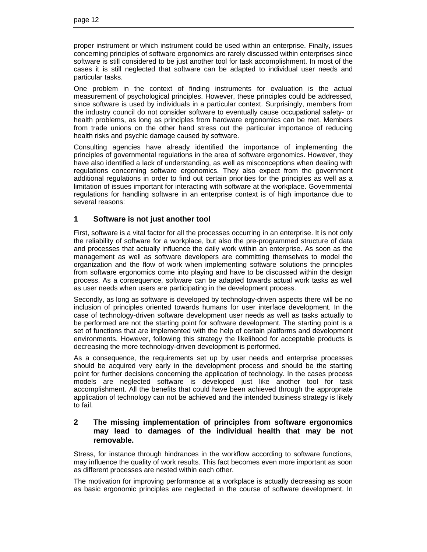proper instrument or which instrument could be used within an enterprise. Finally, issues concerning principles of software ergonomics are rarely discussed within enterprises since software is still considered to be just another tool for task accomplishment. In most of the cases it is still neglected that software can be adapted to individual user needs and particular tasks.

One problem in the context of finding instruments for evaluation is the actual measurement of psychological principles. However, these principles could be addressed, since software is used by individuals in a particular context. Surprisingly, members from the industry council do not consider software to eventually cause occupational safety- or health problems, as long as principles from hardware ergonomics can be met. Members from trade unions on the other hand stress out the particular importance of reducing health risks and psychic damage caused by software.

Consulting agencies have already identified the importance of implementing the principles of governmental regulations in the area of software ergonomics. However, they have also identified a lack of understanding, as well as misconceptions when dealing with regulations concerning software ergonomics. They also expect from the government additional regulations in order to find out certain priorities for the principles as well as a limitation of issues important for interacting with software at the workplace. Governmental regulations for handling software in an enterprise context is of high importance due to several reasons:

### **1 Software is not just another tool**

First, software is a vital factor for all the processes occurring in an enterprise. It is not only the reliability of software for a workplace, but also the pre-programmed structure of data and processes that actually influence the daily work within an enterprise. As soon as the management as well as software developers are committing themselves to model the organization and the flow of work when implementing software solutions the principles from software ergonomics come into playing and have to be discussed within the design process. As a consequence, software can be adapted towards actual work tasks as well as user needs when users are participating in the development process.

Secondly, as long as software is developed by technology-driven aspects there will be no inclusion of principles oriented towards humans for user interface development. In the case of technology-driven software development user needs as well as tasks actually to be performed are not the starting point for software development. The starting point is a set of functions that are implemented with the help of certain platforms and development environments. However, following this strategy the likelihood for acceptable products is decreasing the more technology-driven development is performed.

As a consequence, the requirements set up by user needs and enterprise processes should be acquired very early in the development process and should be the starting point for further decisions concerning the application of technology. In the cases process models are neglected software is developed just like another tool for task accomplishment. All the benefits that could have been achieved through the appropriate application of technology can not be achieved and the intended business strategy is likely to fail.

### **2 The missing implementation of principles from software ergonomics may lead to damages of the individual health that may be not removable.**

Stress, for instance through hindrances in the workflow according to software functions, may influence the quality of work results. This fact becomes even more important as soon as different processes are nested within each other.

The motivation for improving performance at a workplace is actually decreasing as soon as basic ergonomic principles are neglected in the course of software development. In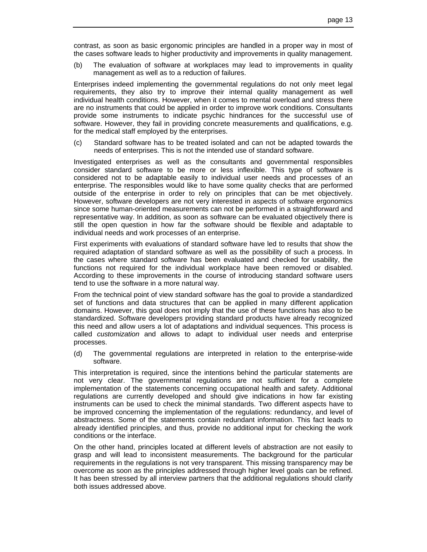contrast, as soon as basic ergonomic principles are handled in a proper way in most of the cases software leads to higher productivity and improvements in quality management.

(b) The evaluation of software at workplaces may lead to improvements in quality management as well as to a reduction of failures.

Enterprises indeed implementing the governmental regulations do not only meet legal requirements, they also try to improve their internal quality management as well individual health conditions. However, when it comes to mental overload and stress there are no instruments that could be applied in order to improve work conditions. Consultants provide some instruments to indicate psychic hindrances for the successful use of software. However, they fail in providing concrete measurements and qualifications, e.g. for the medical staff employed by the enterprises.

(c) Standard software has to be treated isolated and can not be adapted towards the needs of enterprises. This is not the intended use of standard software.

Investigated enterprises as well as the consultants and governmental responsibles consider standard software to be more or less inflexible. This type of software is considered not to be adaptable easily to individual user needs and processes of an enterprise. The responsibles would like to have some quality checks that are performed outside of the enterprise in order to rely on principles that can be met objectively. However, software developers are not very interested in aspects of software ergonomics since some human-oriented measurements can not be performed in a straightforward and representative way. In addition, as soon as software can be evaluated objectively there is still the open question in how far the software should be flexible and adaptable to individual needs and work processes of an enterprise.

First experiments with evaluations of standard software have led to results that show the required adaptation of standard software as well as the possibility of such a process. In the cases where standard software has been evaluated and checked for usability, the functions not required for the individual workplace have been removed or disabled. According to these improvements in the course of introducing standard software users tend to use the software in a more natural way.

From the technical point of view standard software has the goal to provide a standardized set of functions and data structures that can be applied in many different application domains. However, this goal does not imply that the use of these functions has also to be standardized. Software developers providing standard products have already recognized this need and allow users a lot of adaptations and individual sequences. This process is called *customization* and allows to adapt to individual user needs and enterprise processes.

(d) The governmental regulations are interpreted in relation to the enterprise-wide software.

This interpretation is required, since the intentions behind the particular statements are not very clear. The governmental regulations are not sufficient for a complete implementation of the statements concerning occupational health and safety. Additional regulations are currently developed and should give indications in how far existing instruments can be used to check the minimal standards. Two different aspects have to be improved concerning the implementation of the regulations: redundancy, and level of abstractness. Some of the statements contain redundant information. This fact leads to already identified principles, and thus, provide no additional input for checking the work conditions or the interface.

On the other hand, principles located at different levels of abstraction are not easily to grasp and will lead to inconsistent measurements. The background for the particular requirements in the regulations is not very transparent. This missing transparency may be overcome as soon as the principles addressed through higher level goals can be refined. It has been stressed by all interview partners that the additional regulations should clarify both issues addressed above.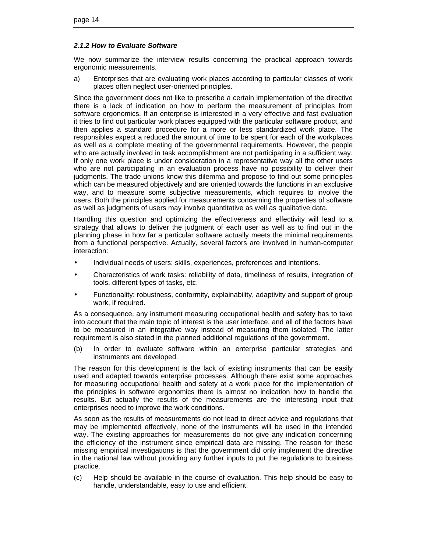### *2.1.2 How to Evaluate Software*

We now summarize the interview results concerning the practical approach towards ergonomic measurements.

a) Enterprises that are evaluating work places according to particular classes of work places often neglect user-oriented principles.

Since the government does not like to prescribe a certain implementation of the directive there is a lack of indication on how to perform the measurement of principles from software ergonomics. If an enterprise is interested in a very effective and fast evaluation it tries to find out particular work places equipped with the particular software product, and then applies a standard procedure for a more or less standardized work place. The responsibles expect a reduced the amount of time to be spent for each of the workplaces as well as a complete meeting of the governmental requirements. However, the people who are actually involved in task accomplishment are not participating in a sufficient way. If only one work place is under consideration in a representative way all the other users who are not participating in an evaluation process have no possibility to deliver their judgments. The trade unions know this dilemma and propose to find out some principles which can be measured objectively and are oriented towards the functions in an exclusive way, and to measure some subjective measurements, which requires to involve the users. Both the principles applied for measurements concerning the properties of software as well as judgments of users may involve quantitative as well as qualitative data.

Handling this question and optimizing the effectiveness and effectivity will lead to a strategy that allows to deliver the judgment of each user as well as to find out in the planning phase in how far a particular software actually meets the minimal requirements from a functional perspective. Actually, several factors are involved in human-computer interaction:

- Individual needs of users: skills, experiences, preferences and intentions.
- Characteristics of work tasks: reliability of data, timeliness of results, integration of tools, different types of tasks, etc.
- Functionality: robustness, conformity, explainability, adaptivity and support of group work, if required.

As a consequence, any instrument measuring occupational health and safety has to take into account that the main topic of interest is the user interface, and all of the factors have to be measured in an integrative way instead of measuring them isolated. The latter requirement is also stated in the planned additional regulations of the government.

(b) In order to evaluate software within an enterprise particular strategies and instruments are developed.

The reason for this development is the lack of existing instruments that can be easily used and adapted towards enterprise processes. Although there exist some approaches for measuring occupational health and safety at a work place for the implementation of the principles in software ergonomics there is almost no indication how to handle the results. But actually the results of the measurements are the interesting input that enterprises need to improve the work conditions.

As soon as the results of measurements do not lead to direct advice and regulations that may be implemented effectively, none of the instruments will be used in the intended way. The existing approaches for measurements do not give any indication concerning the efficiency of the instrument since empirical data are missing. The reason for these missing empirical investigations is that the government did only implement the directive in the national law without providing any further inputs to put the regulations to business practice.

(c) Help should be available in the course of evaluation. This help should be easy to handle, understandable, easy to use and efficient.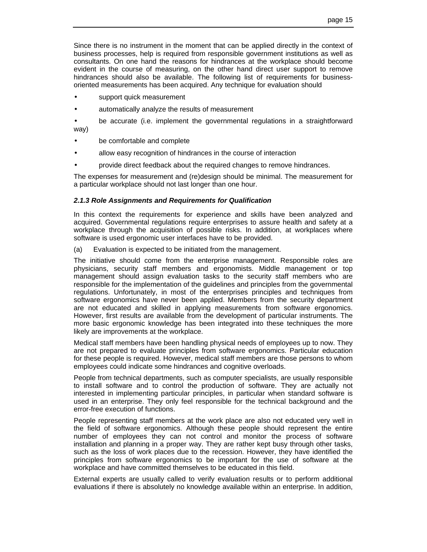Since there is no instrument in the moment that can be applied directly in the context of business processes, help is required from responsible government institutions as well as consultants. On one hand the reasons for hindrances at the workplace should become evident in the course of measuring, on the other hand direct user support to remove hindrances should also be available. The following list of requirements for businessoriented measurements has been acquired. Any technique for evaluation should

- support quick measurement
- automatically analyze the results of measurement
- be accurate (i.e. implement the governmental regulations in a straightforward way)
- be comfortable and complete
- allow easy recognition of hindrances in the course of interaction
- provide direct feedback about the required changes to remove hindrances.

The expenses for measurement and (re)design should be minimal. The measurement for a particular workplace should not last longer than one hour.

#### *2.1.3 Role Assignments and Requirements for Qualification*

In this context the requirements for experience and skills have been analyzed and acquired. Governmental regulations require enterprises to assure health and safety at a workplace through the acquisition of possible risks. In addition, at workplaces where software is used ergonomic user interfaces have to be provided.

(a) Evaluation is expected to be initiated from the management.

The initiative should come from the enterprise management. Responsible roles are physicians, security staff members and ergonomists. Middle management or top management should assign evaluation tasks to the security staff members who are responsible for the implementation of the guidelines and principles from the governmental regulations. Unfortunately, in most of the enterprises principles and techniques from software ergonomics have never been applied. Members from the security department are not educated and skilled in applying measurements from software ergonomics. However, first results are available from the development of particular instruments. The more basic ergonomic knowledge has been integrated into these techniques the more likely are improvements at the workplace.

Medical staff members have been handling physical needs of employees up to now. They are not prepared to evaluate principles from software ergonomics. Particular education for these people is required. However, medical staff members are those persons to whom employees could indicate some hindrances and cognitive overloads.

People from technical departments, such as computer specialists, are usually responsible to install software and to control the production of software. They are actually not interested in implementing particular principles, in particular when standard software is used in an enterprise. They only feel responsible for the technical background and the error-free execution of functions.

People representing staff members at the work place are also not educated very well in the field of software ergonomics. Although these people should represent the entire number of employees they can not control and monitor the process of software installation and planning in a proper way. They are rather kept busy through other tasks, such as the loss of work places due to the recession. However, they have identified the principles from software ergonomics to be important for the use of software at the workplace and have committed themselves to be educated in this field.

External experts are usually called to verify evaluation results or to perform additional evaluations if there is absolutely no knowledge available within an enterprise. In addition,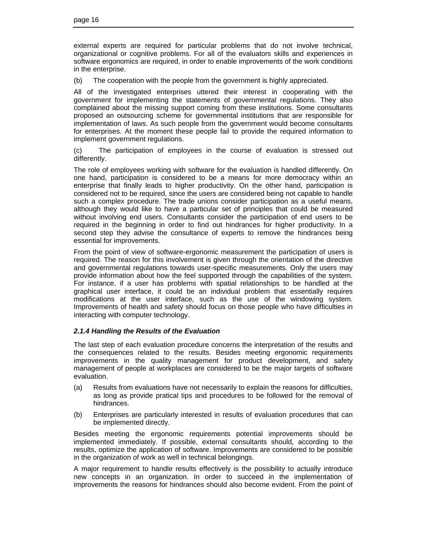external experts are required for particular problems that do not involve technical, organizational or cognitive problems. For all of the evaluators skills and experiences in software ergonomics are required, in order to enable improvements of the work conditions in the enterprise.

(b) The cooperation with the people from the government is highly appreciated.

All of the investigated enterprises uttered their interest in cooperating with the government for implementing the statements of governmental regulations. They also complained about the missing support coming from these institutions. Some consultants proposed an outsourcing scheme for governmental institutions that are responsible for implementation of laws. As such people from the government would become consultants for enterprises. At the moment these people fail to provide the required information to implement government regulations.

(c) The participation of employees in the course of evaluation is stressed out differently.

The role of employees working with software for the evaluation is handled differently. On one hand, participation is considered to be a means for more democracy within an enterprise that finally leads to higher productivity. On the other hand, participation is considered not to be required, since the users are considered being not capable to handle such a complex procedure. The trade unions consider participation as a useful means, although they would like to have a particular set of principles that could be measured without involving end users. Consultants consider the participation of end users to be required in the beginning in order to find out hindrances for higher productivity. In a second step they advise the consultance of experts to remove the hindrances being essential for improvements.

From the point of view of software-ergonomic measurement the participation of users is required. The reason for this involvement is given through the orientation of the directive and governmental regulations towards user-specific measurements. Only the users may provide information about how the feel supported through the capabilities of the system. For instance, if a user has problems with spatial relationships to be handled at the graphical user interface, it could be an individual problem that essentially requires modifications at the user interface, such as the use of the windowing system. Improvements of health and safety should focus on those people who have difficulties in interacting with computer technology.

### *2.1.4 Handling the Results of the Evaluation*

The last step of each evaluation procedure concerns the interpretation of the results and the consequences related to the results. Besides meeting ergonomic requirements improvements in the quality management for product development, and safety management of people at workplaces are considered to be the major targets of software evaluation.

- (a) Results from evaluations have not necessarily to explain the reasons for difficulties, as long as provide pratical tips and procedures to be followed for the removal of hindrances.
- (b) Enterprises are particularly interested in results of evaluation procedures that can be implemented directly.

Besides meeting the ergonomic requirements potential improvements should be implemented immediately. If possible, external consultants should, according to the results, optimize the application of software. Improvements are considered to be possible in the organization of work as well in technical belongings.

A major requirement to handle results effectively is the possibility to actually introduce new concepts in an organization. In order to succeed in the implementation of improvements the reasons for hindrances should also become evident. From the point of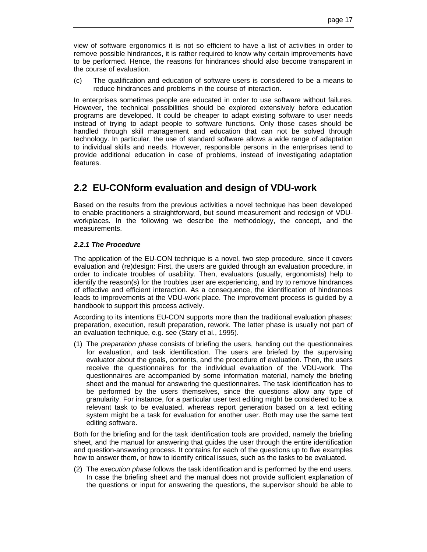view of software ergonomics it is not so efficient to have a list of activities in order to remove possible hindrances, it is rather required to know why certain improvements have to be performed. Hence, the reasons for hindrances should also become transparent in the course of evaluation.

(c) The qualification and education of software users is considered to be a means to reduce hindrances and problems in the course of interaction.

In enterprises sometimes people are educated in order to use software without failures. However, the technical possibilities should be explored extensively before education programs are developed. It could be cheaper to adapt existing software to user needs instead of trying to adapt people to software functions. Only those cases should be handled through skill management and education that can not be solved through technology. In particular, the use of standard software allows a wide range of adaptation to individual skills and needs. However, responsible persons in the enterprises tend to provide additional education in case of problems, instead of investigating adaptation features.

## **2.2 EU-CONform evaluation and design of VDU-work**

Based on the results from the previous activities a novel technique has been developed to enable practitioners a straightforward, but sound measurement and redesign of VDUworkplaces. In the following we describe the methodology, the concept, and the measurements.

### *2.2.1 The Procedure*

The application of the EU-CON technique is a novel, two step procedure, since it covers evaluation and (re)design: First, the users are guided through an evaluation procedure, in order to indicate troubles of usability. Then, evaluators (usually, ergonomists) help to identify the reason(s) for the troubles user are experiencing, and try to remove hindrances of effective and efficient interaction. As a consequence, the identification of hindrances leads to improvements at the VDU-work place. The improvement process is guided by a handbook to support this process actively.

According to its intentions EU-CON supports more than the traditional evaluation phases: preparation, execution, result preparation, rework. The latter phase is usually not part of an evaluation technique, e.g. see (Stary et al., 1995).

(1) The *preparation phase* consists of briefing the users, handing out the questionnaires for evaluation, and task identification. The users are briefed by the supervising evaluator about the goals, contents, and the procedure of evaluation. Then, the users receive the questionnaires for the individual evaluation of the VDU-work. The questionnaires are accompanied by some information material, namely the briefing sheet and the manual for answering the questionnaires. The task identification has to be performed by the users themselves, since the questions allow any type of granularity. For instance, for a particular user text editing might be considered to be a relevant task to be evaluated, whereas report generation based on a text editing system might be a task for evaluation for another user. Both may use the same text editing software.

Both for the briefing and for the task identification tools are provided, namely the briefing sheet, and the manual for answering that guides the user through the entire identification and question-answering process. It contains for each of the questions up to five examples how to answer them, or how to identify critical issues, such as the tasks to be evaluated.

(2) The *execution phase* follows the task identification and is performed by the end users. In case the briefing sheet and the manual does not provide sufficient explanation of the questions or input for answering the questions, the supervisor should be able to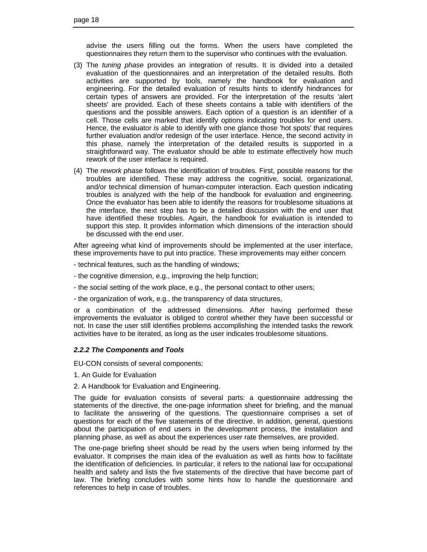advise the users filling out the forms. When the users have completed the questionnaires they return them to the supervisor who continues with the evaluation.

- (3) The *tuning phase* provides an integration of results. It is divided into a detailed evaluation of the questionnaires and an interpretation of the detailed results. Both activities are supported by tools, namely the handbook for evaluation and engineering. For the detailed evaluation of results hints to identify hindrances for certain types of answers are provided. For the interpretation of the results 'alert sheets' are provided. Each of these sheets contains a table with identifiers of the questions and the possible answers. Each option of a question is an identifier of a cell. Those cells are marked that identify options indicating troubles for end users. Hence, the evaluator is able to identify with one glance those 'hot spots' that requires further evaluation and/or redesign of the user interface. Hence, the second activity in this phase, namely the interpretation of the detailed results is supported in a straightforward way. The evaluator should be able to estimate effectively how much rework of the user interface is required.
- (4) The *rework phase* follows the identification of troubles. First, possible reasons for the troubles are identified. These may address the cognitive, social, organizational, and/or technical dimension of human-computer interaction. Each question indicating troubles is analyzed with the help of the handbook for evaluation and engineering. Once the evaluator has been able to identify the reasons for troublesome situations at the interface, the next step has to be a detailed discussion with the end user that have identified these troubles. Again, the handbook for evaluation is intended to support this step. It provides information which dimensions of the interaction should be discussed with the end user.

After agreeing what kind of improvements should be implemented at the user interface, these improvements have to put into practice. These improvements may either concern

- technical features, such as the handling of windows;
- the cognitive dimension, e.g., improving the help function;
- the social setting of the work place, e.g., the personal contact to other users;
- the organization of work, e.g., the transparency of data structures,

or a combination of the addressed dimensions. After having performed these improvements the evaluator is obliged to control whether they have been successful or not. In case the user still identifies problems accomplishing the intended tasks the rework activities have to be iterated, as long as the user indicates troublesome situations.

#### *2.2.2 The Components and Tools*

EU-CON consists of several components:

- 1. An Guide for Evaluation
- 2. A Handbook for Evaluation and Engineering.

The guide for evaluation consists of several parts: a questionnaire addressing the statements of the directive, the one-page information sheet for briefing, and the manual to facilitate the answering of the questions. The questionnaire comprises a set of questions for each of the five statements of the directive. In addition, general, questions about the participation of end users in the development process, the installation and planning phase, as well as about the experiences user rate themselves, are provided.

The one-page briefing sheet should be read by the users when being informed by the evaluator. It comprises the main idea of the evaluation as well as hints how to facilitate the identification of deficiencies. In particular, it refers to the national law for occupational health and safety and lists the five statements of the directive that have become part of law. The briefing concludes with some hints how to handle the questionnaire and references to help in case of troubles.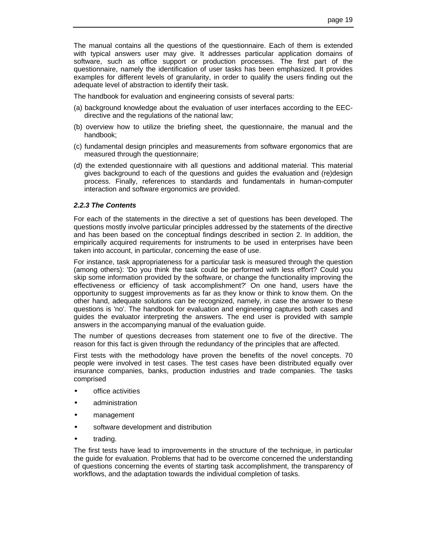The manual contains all the questions of the questionnaire. Each of them is extended with typical answers user may give. It addresses particular application domains of software, such as office support or production processes. The first part of the questionnaire, namely the identification of user tasks has been emphasized. It provides examples for different levels of granularity, in order to qualify the users finding out the adequate level of abstraction to identify their task.

The handbook for evaluation and engineering consists of several parts:

- (a) background knowledge about the evaluation of user interfaces according to the EECdirective and the regulations of the national law;
- (b) overview how to utilize the briefing sheet, the questionnaire, the manual and the handbook;
- (c) fundamental design principles and measurements from software ergonomics that are measured through the questionnaire;
- (d) the extended questionnaire with all questions and additional material. This material gives background to each of the questions and guides the evaluation and (re)design process. Finally, references to standards and fundamentals in human-computer interaction and software ergonomics are provided.

### *2.2.3 The Contents*

For each of the statements in the directive a set of questions has been developed. The questions mostly involve particular principles addressed by the statements of the directive and has been based on the conceptual findings described in section 2. In addition, the empirically acquired requirements for instruments to be used in enterprises have been taken into account, in particular, concerning the ease of use.

For instance, task appropriateness for a particular task is measured through the question (among others): 'Do you think the task could be performed with less effort? Could you skip some information provided by the software, or change the functionality improving the effectiveness or efficiency of task accomplishment?' On one hand, users have the opportunity to suggest improvements as far as they know or think to know them. On the other hand, adequate solutions can be recognized, namely, in case the answer to these questions is 'no'. The handbook for evaluation and engineering captures both cases and guides the evaluator interpreting the answers. The end user is provided with sample answers in the accompanying manual of the evaluation guide.

The number of questions decreases from statement one to five of the directive. The reason for this fact is given through the redundancy of the principles that are affected.

First tests with the methodology have proven the benefits of the novel concepts. 70 people were involved in test cases. The test cases have been distributed equally over insurance companies, banks, production industries and trade companies. The tasks comprised

- office activities
- administration
- management
- software development and distribution
- trading.

The first tests have lead to improvements in the structure of the technique, in particular the guide for evaluation. Problems that had to be overcome concerned the understanding of questions concerning the events of starting task accomplishment, the transparency of workflows, and the adaptation towards the individual completion of tasks.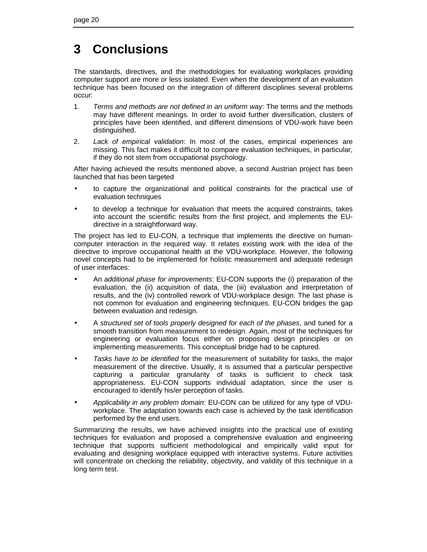## **3 Conclusions**

The standards, directives, and the methodologies for evaluating workplaces providing computer support are more or less isolated. Even when the development of an evaluation technique has been focused on the integration of different disciplines several problems occur:

- 1. *Terms and methods are not defined in an uniform way*: The terms and the methods may have different meanings. In order to avoid further diversification, clusters of principles have been identified, and different dimensions of VDU-work have been distinguished.
- 2. *Lack of empirical validation*: In most of the cases, empirical experiences are missing. This fact makes it difficult to compare evaluation techniques, in particular, if they do not stem from occupational psychology.

After having achieved the results mentioned above, a second Austrian project has been launched that has been targeted

- to capture the organizational and political constraints for the practical use of evaluation techniques
- to develop a technique for evaluation that meets the acquired constraints, takes into account the scientific results from the first project, and implements the EUdirective in a straightforward way.

The project has led to EU-CON, a technique that implements the directive on humancomputer interaction in the required way. It relates existing work with the idea of the directive to improve occupational health at the VDU-workplace. However, the following novel concepts had to be implemented for holistic measurement and adequate redesign of user interfaces:

- An *additional phase for improvements*: EU-CON supports the (i) preparation of the evaluation, the (ii) acquisition of data, the (iii) evaluation and interpretation of results, and the (iv) controlled rework of VDU-workplace design. The last phase is not common for evaluation and engineering techniques. EU-CON bridges the gap between evaluation and redesign.
- A *structured set of tools properly designed for each of the phases*, and tuned for a smooth transition from measurement to redesign. Again, most of the techniques for engineering or evaluation focus either on proposing design principles or on implementing measurements. This conceptual bridge had to be captured.
- *Tasks have to be identified* for the measurement of suitability for tasks, the major measurement of the directive. Usually, it is assumed that a particular perspective capturing a particular granularity of tasks is sufficient to check task appropriateness. EU-CON supports individual adaptation, since the user is encouraged to identify his/er perception of tasks.
- *Applicability in any problem domain*: EU-CON can be utilized for any type of VDUworkplace. The adaptation towards each case is achieved by the task identification performed by the end users.

Summarizing the results, we have achieved insights into the practical use of existing techniques for evaluation and proposed a comprehensive evaluation and engineering technique that supports sufficient methodological and empirically valid input for evaluating and designing workplace equipped with interactive systems. Future activities will concentrate on checking the reliability, objectivity, and validity of this technique in a long term test.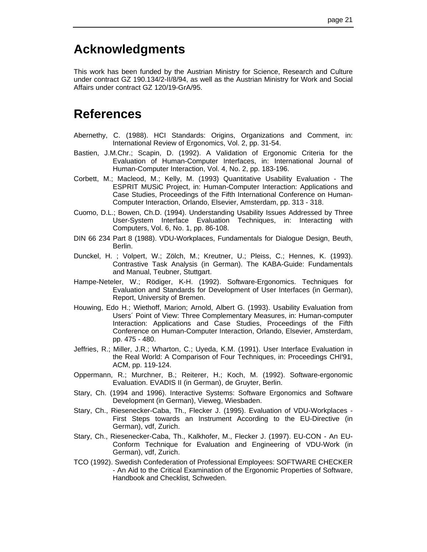## **Acknowledgments**

This work has been funded by the Austrian Ministry for Science, Research and Culture under contract GZ 190.134/2-II/8/94, as well as the Austrian Ministry for Work and Social Affairs under contract GZ 120/19-GrA/95.

## **References**

- Abernethy, C. (1988). HCI Standards: Origins, Organizations and Comment, in: International Review of Ergonomics, Vol. 2, pp. 31-54.
- Bastien, J.M.Chr.; Scapin, D. (1992). A Validation of Ergonomic Criteria for the Evaluation of Human-Computer Interfaces, in: International Journal of Human-Computer Interaction, Vol. 4, No. 2, pp. 183-196.
- Corbett, M.; Macleod, M.; Kelly, M. (1993) Quantitative Usability Evaluation The ESPRIT MUSiC Project, in: Human-Computer Interaction: Applications and Case Studies, Proceedings of the Fifth International Conference on Human-Computer Interaction, Orlando, Elsevier, Amsterdam, pp. 313 - 318.
- Cuomo, D.L.; Bowen, Ch.D. (1994). Understanding Usability Issues Addressed by Three User-System Interface Evaluation Techniques, in: Interacting with Computers, Vol. 6, No. 1, pp. 86-108.
- DIN 66 234 Part 8 (1988). VDU-Workplaces, Fundamentals for Dialogue Design, Beuth, Berlin.
- Dunckel, H. ; Volpert, W.; Zölch, M.; Kreutner, U.; Pleiss, C.; Hennes, K. (1993). Contrastive Task Analysis (in German). The KABA-Guide: Fundamentals and Manual, Teubner, Stuttgart.
- Hampe-Neteler, W.; Rödiger, K-H. (1992). Software-Ergonomics. Techniques for Evaluation and Standards for Development of User Interfaces (in German), Report, University of Bremen.
- Houwing, Edo H.; Wiethoff, Marion; Arnold, Albert G. (1993). Usability Evaluation from Users´ Point of View: Three Complementary Measures, in: Human-computer Interaction: Applications and Case Studies, Proceedings of the Fifth Conference on Human-Computer Interaction, Orlando, Elsevier, Amsterdam, pp. 475 - 480.
- Jeffries, R.; Miller, J.R.; Wharton, C.; Uyeda, K.M. (1991). User Interface Evaluation in the Real World: A Comparison of Four Techniques, in: Proceedings CHI'91, ACM, pp. 119-124.
- Oppermann, R.; Murchner, B.; Reiterer, H.; Koch, M. (1992). Software-ergonomic Evaluation. EVADIS II (in German), de Gruyter, Berlin.
- Stary, Ch. (1994 and 1996). Interactive Systems: Software Ergonomics and Software Development (in German), Vieweg, Wiesbaden.
- Stary, Ch., Riesenecker-Caba, Th., Flecker J. (1995). Evaluation of VDU-Workplaces First Steps towards an Instrument According to the EU-Directive (in German), vdf, Zurich.
- Stary, Ch., Riesenecker-Caba, Th., Kalkhofer, M., Flecker J. (1997). EU-CON An EU-Conform Technique for Evaluation and Engineering of VDU-Work (in German), vdf, Zurich.
- TCO (1992). Swedish Confederation of Professional Employees: SOFTWARE CHECKER - An Aid to the Critical Examination of the Ergonomic Properties of Software, Handbook and Checklist, Schweden.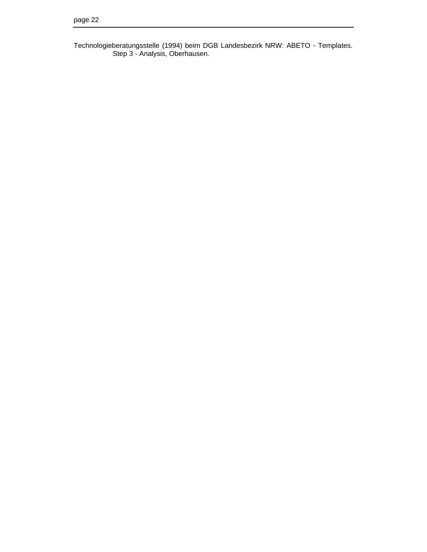Technologieberatungsstelle (1994) beim DGB Landesbezirk NRW: ABETO - Templates. Step 3 - Analysis, Oberhausen.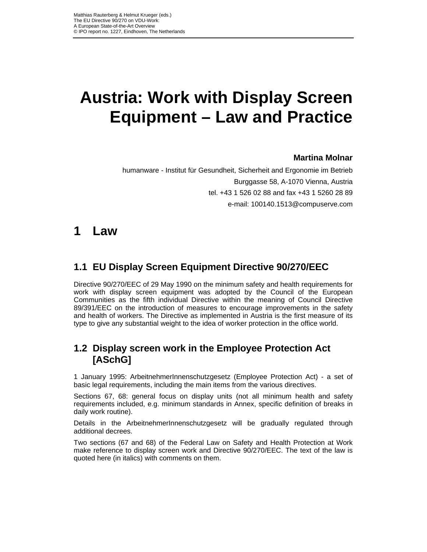# **Austria: Work with Display Screen Equipment – Law and Practice**

## **Martina Molnar**

humanware - Institut für Gesundheit, Sicherheit and Ergonomie im Betrieb Burggasse 58, A-1070 Vienna, Austria tel. +43 1 526 02 88 and fax +43 1 5260 28 89 e-mail: 100140.1513@compuserve.com

## **1 Law**

## **1.1 EU Display Screen Equipment Directive 90/270/EEC**

Directive 90/270/EEC of 29 May 1990 on the minimum safety and health requirements for work with display screen equipment was adopted by the Council of the European Communities as the fifth individual Directive within the meaning of Council Directive 89/391/EEC on the introduction of measures to encourage improvements in the safety and health of workers. The Directive as implemented in Austria is the first measure of its type to give any substantial weight to the idea of worker protection in the office world.

## **1.2 Display screen work in the Employee Protection Act [ASchG]**

1 January 1995: ArbeitnehmerInnenschutzgesetz (Employee Protection Act) - a set of basic legal requirements, including the main items from the various directives.

Sections 67, 68: general focus on display units (not all minimum health and safety requirements included, e.g. minimum standards in Annex, specific definition of breaks in daily work routine).

Details in the ArbeitnehmerInnenschutzgesetz will be gradually regulated through additional decrees.

Two sections (67 and 68) of the Federal Law on Safety and Health Protection at Work make reference to display screen work and Directive 90/270/EEC. The text of the law is quoted here (in italics) with comments on them.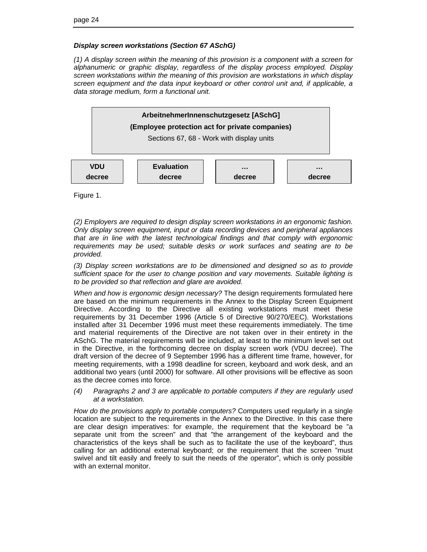### *Display screen workstations (Section 67 ASchG)*

*(1) A display screen within the meaning of this provision is a component with a screen for alphanumeric or graphic display, regardless of the display process employed. Display screen workstations within the meaning of this provision are workstations in which display screen equipment and the data input keyboard or other control unit and, if applicable, a data storage medium, form a functional unit.*



Figure 1.

*(2) Employers are required to design display screen workstations in an ergonomic fashion. Only display screen equipment, input or data recording devices and peripheral appliances that are in line with the latest technological findings and that comply with ergonomic requirements may be used; suitable desks or work surfaces and seating are to be provided.*

*(3) Display screen workstations are to be dimensioned and designed so as to provide sufficient space for the user to change position and vary movements. Suitable lighting is to be provided so that reflection and glare are avoided.*

*When and how is ergonomic design necessary?* The design requirements formulated here are based on the minimum requirements in the Annex to the Display Screen Equipment Directive. According to the Directive all existing workstations must meet these requirements by 31 December 1996 (Article 5 of Directive 90/270/EEC). Workstations installed after 31 December 1996 must meet these requirements immediately. The time and material requirements of the Directive are not taken over in their entirety in the ASchG. The material requirements will be included, at least to the minimum level set out in the Directive, in the forthcoming decree on display screen work (VDU decree). The draft version of the decree of 9 September 1996 has a different time frame, however, for meeting requirements, with a 1998 deadline for screen, keyboard and work desk, and an additional two years (until 2000) for software. All other provisions will be effective as soon as the decree comes into force.

### *(4) Paragraphs 2 and 3 are applicable to portable computers if they are regularly used at a workstation.*

*How do the provisions apply to portable computers?* Computers used regularly in a single location are subject to the requirements in the Annex to the Directive. In this case there are clear design imperatives: for example, the requirement that the keyboard be "a separate unit from the screen" and that "the arrangement of the keyboard and the characteristics of the keys shall be such as to facilitate the use of the keyboard", thus calling for an additional external keyboard; or the requirement that the screen "must swivel and tilt easily and freely to suit the needs of the operator", which is only possible with an external monitor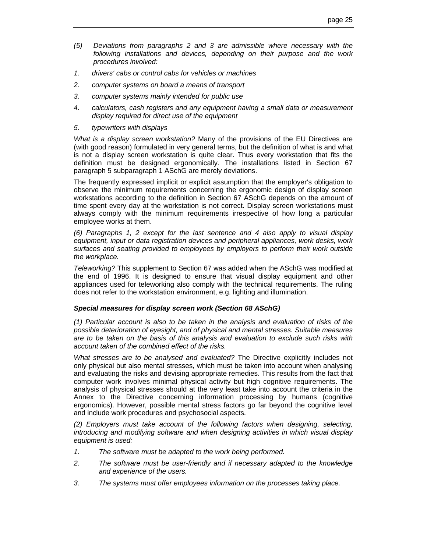- *(5) Deviations from paragraphs 2 and 3 are admissible where necessary with the following installations and devices, depending on their purpose and the work procedures involved:*
- *1. drivers' cabs or control cabs for vehicles or machines*
- *2. computer systems on board a means of transport*
- *3. computer systems mainly intended for public use*
- *4. calculators, cash registers and any equipment having a small data or measurement display required for direct use of the equipment*
- *5. typewriters with displays*

*What is a display screen workstation?* Many of the provisions of the EU Directives are (with good reason) formulated in very general terms, but the definition of what is and what is not a display screen workstation is quite clear. Thus every workstation that fits the definition must be designed ergonomically. The installations listed in Section 67 paragraph 5 subparagraph 1 ASchG are merely deviations.

The frequently expressed implicit or explicit assumption that the employer's obligation to observe the minimum requirements concerning the ergonomic design of display screen workstations according to the definition in Section 67 ASchG depends on the amount of time spent every day at the workstation is not correct. Display screen workstations must always comply with the minimum requirements irrespective of how long a particular employee works at them.

*(6) Paragraphs 1, 2 except for the last sentence and 4 also apply to visual display equipment, input or data registration devices and peripheral appliances, work desks, work surfaces and seating provided to employees by employers to perform their work outside the workplace.*

*Teleworking?* This supplement to Section 67 was added when the ASchG was modified at the end of 1996. It is designed to ensure that visual display equipment and other appliances used for teleworking also comply with the technical requirements. The ruling does not refer to the workstation environment, e.g. lighting and illumination.

### *Special measures for display screen work (Section 68 ASchG)*

*(1) Particular account is also to be taken in the analysis and evaluation of risks of the possible deterioration of eyesight, and of physical and mental stresses. Suitable measures are to be taken on the basis of this analysis and evaluation to exclude such risks with account taken of the combined effect of the risks.*

*What stresses are to be analysed and evaluated?* The Directive explicitly includes not only physical but also mental stresses, which must be taken into account when analysing and evaluating the risks and devising appropriate remedies. This results from the fact that computer work involves minimal physical activity but high cognitive requirements. The analysis of physical stresses should at the very least take into account the criteria in the Annex to the Directive concerning information processing by humans (cognitive ergonomics). However, possible mental stress factors go far beyond the cognitive level and include work procedures and psychosocial aspects.

*(2) Employers must take account of the following factors when designing, selecting, introducing and modifying software and when designing activities in which visual display equipment is used:*

- *1. The software must be adapted to the work being performed.*
- *2. The software must be user-friendly and if necessary adapted to the knowledge and experience of the users.*
- *3. The systems must offer employees information on the processes taking place.*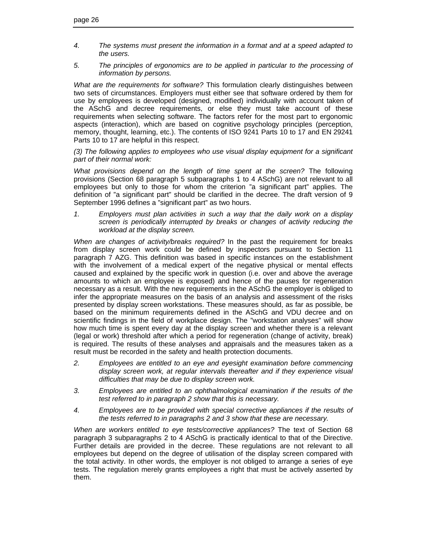- *4. The systems must present the information in a format and at a speed adapted to the users.*
- *5. The principles of ergonomics are to be applied in particular to the processing of information by persons.*

*What are the requirements for software?* This formulation clearly distinguishes between two sets of circumstances. Employers must either see that software ordered by them for use by employees is developed (designed, modified) individually with account taken of the ASchG and decree requirements, or else they must take account of these requirements when selecting software. The factors refer for the most part to ergonomic aspects (interaction), which are based on cognitive psychology principles (perception, memory, thought, learning, etc.). The contents of ISO 9241 Parts 10 to 17 and EN 29241 Parts 10 to 17 are helpful in this respect.

*(3) The following applies to employees who use visual display equipment for a significant part of their normal work:*

*What provisions depend on the length of time spent at the screen?* The following provisions (Section 68 paragraph 5 subparagraphs 1 to 4 ASchG) are not relevant to all employees but only to those for whom the criterion "a significant part" applies. The definition of "a significant part" should be clarified in the decree. The draft version of 9 September 1996 defines a "significant part" as two hours.

*1. Employers must plan activities in such a way that the daily work on a display screen is periodically interrupted by breaks or changes of activity reducing the workload at the display screen.*

*When are changes of activity/breaks required?* In the past the requirement for breaks from display screen work could be defined by inspectors pursuant to Section 11 paragraph 7 AZG. This definition was based in specific instances on the establishment with the involvement of a medical expert of the negative physical or mental effects caused and explained by the specific work in question (i.e. over and above the average amounts to which an employee is exposed) and hence of the pauses for regeneration necessary as a result. With the new requirements in the ASchG the employer is obliged to infer the appropriate measures on the basis of an analysis and assessment of the risks presented by display screen workstations. These measures should, as far as possible, be based on the minimum requirements defined in the ASchG and VDU decree and on scientific findings in the field of workplace design. The "workstation analyses" will show how much time is spent every day at the display screen and whether there is a relevant (legal or work) threshold after which a period for regeneration (change of activity, break) is required. The results of these analyses and appraisals and the measures taken as a result must be recorded in the safety and health protection documents.

- *2. Employees are entitled to an eye and eyesight examination before commencing display screen work, at regular intervals thereafter and if they experience visual difficulties that may be due to display screen work.*
- *3. Employees are entitled to an ophthalmological examination if the results of the test referred to in paragraph 2 show that this is necessary.*
- *4. Employees are to be provided with special corrective appliances if the results of the tests referred to in paragraphs 2 and 3 show that these are necessary.*

*When are workers entitled to eye tests/corrective appliances?* The text of Section 68 paragraph 3 subparagraphs 2 to 4 ASchG is practically identical to that of the Directive. Further details are provided in the decree. These regulations are not relevant to all employees but depend on the degree of utilisation of the display screen compared with the total activity. In other words, the employer is not obliged to arrange a series of eye tests. The regulation merely grants employees a right that must be actively asserted by them.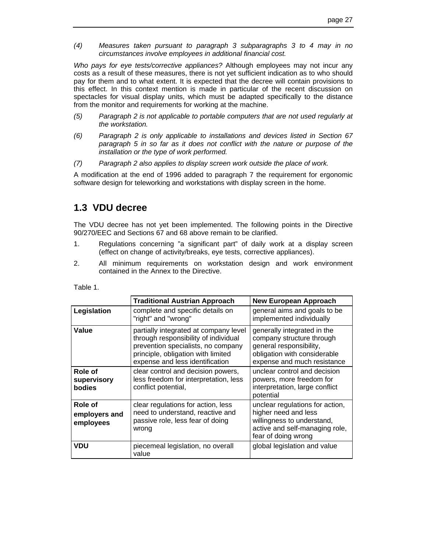*(4) Measures taken pursuant to paragraph 3 subparagraphs 3 to 4 may in no circumstances involve employees in additional financial cost.*

*Who pays for eye tests/corrective appliances?* Although employees may not incur any costs as a result of these measures, there is not yet sufficient indication as to who should pay for them and to what extent. It is expected that the decree will contain provisions to this effect. In this context mention is made in particular of the recent discussion on spectacles for visual display units, which must be adapted specifically to the distance from the monitor and requirements for working at the machine.

- *(5) Paragraph 2 is not applicable to portable computers that are not used regularly at the workstation.*
- *(6) Paragraph 2 is only applicable to installations and devices listed in Section 67 paragraph 5 in so far as it does not conflict with the nature or purpose of the installation or the type of work performed.*
- *(7) Paragraph 2 also applies to display screen work outside the place of work.*

A modification at the end of 1996 added to paragraph 7 the requirement for ergonomic software design for teleworking and workstations with display screen in the home.

## **1.3 VDU decree**

The VDU decree has not yet been implemented. The following points in the Directive 90/270/EEC and Sections 67 and 68 above remain to be clarified.

- 1. Regulations concerning "a significant part" of daily work at a display screen (effect on change of activity/breaks, eye tests, corrective appliances).
- 2. All minimum requirements on workstation design and work environment contained in the Annex to the Directive.

| <b>Traditional Austrian Approach</b>  |                                                                                                                                                                                              | <b>New European Approach</b>                                                                                                                       |
|---------------------------------------|----------------------------------------------------------------------------------------------------------------------------------------------------------------------------------------------|----------------------------------------------------------------------------------------------------------------------------------------------------|
| Legislation                           | complete and specific details on<br>"right" and "wrong"                                                                                                                                      | general aims and goals to be<br>implemented individually                                                                                           |
| Value                                 | partially integrated at company level<br>through responsibility of individual<br>prevention specialists, no company<br>principle, obligation with limited<br>expense and less identification | generally integrated in the<br>company structure through<br>general responsibility,<br>obligation with considerable<br>expense and much resistance |
| Role of<br>supervisory<br>bodies      | clear control and decision powers,<br>less freedom for interpretation, less<br>conflict potential,                                                                                           | unclear control and decision<br>powers, more freedom for<br>interpretation, large conflict<br>potential                                            |
| Role of<br>employers and<br>employees | clear regulations for action, less<br>need to understand, reactive and<br>passive role, less fear of doing<br>wrong                                                                          | unclear regulations for action,<br>higher need and less<br>willingness to understand,<br>active and self-managing role,<br>fear of doing wrong     |
| <b>VDU</b>                            | piecemeal legislation, no overall<br>value                                                                                                                                                   | global legislation and value                                                                                                                       |

Table 1.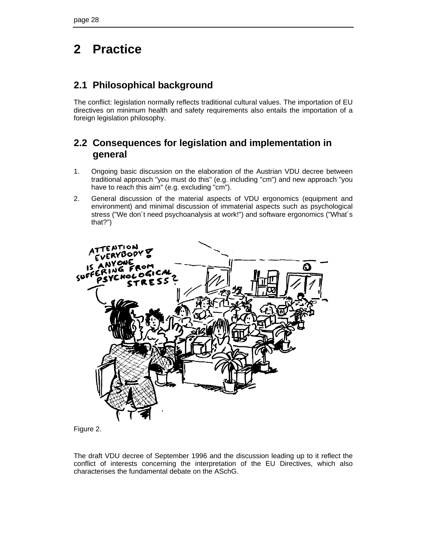## **2 Practice**

## **2.1 Philosophical background**

The conflict: legislation normally reflects traditional cultural values. The importation of EU directives on minimum health and safety requirements also entails the importation of a foreign legislation philosophy.

## **2.2 Consequences for legislation and implementation in general**

- 1. Ongoing basic discussion on the elaboration of the Austrian VDU decree between traditional approach "you must do this" (e.g. including "cm") and new approach "you have to reach this aim" (e.g. excluding "cm").
- 2. General discussion of the material aspects of VDU ergonomics (equipment and environment) and minimal discussion of immaterial aspects such as psychological stress ("We don´t need psychoanalysis at work!") and software ergonomics ("What´s that?")





The draft VDU decree of September 1996 and the discussion leading up to it reflect the conflict of interests concerning the interpretation of the EU Directives, which also characterises the fundamental debate on the ASchG.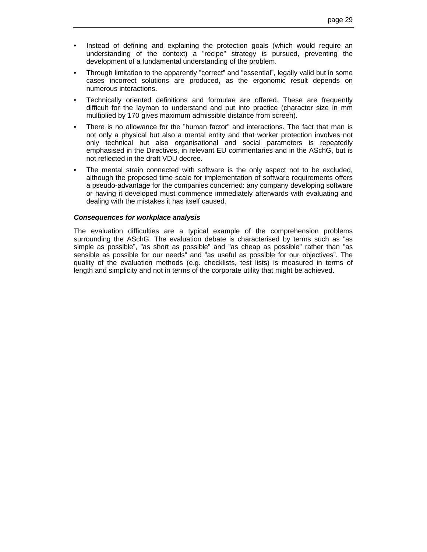- Instead of defining and explaining the protection goals (which would require an understanding of the context) a "recipe" strategy is pursued, preventing the development of a fundamental understanding of the problem.
- Through limitation to the apparently "correct" and "essential", legally valid but in some cases incorrect solutions are produced, as the ergonomic result depends on numerous interactions.
- Technically oriented definitions and formulae are offered. These are frequently difficult for the layman to understand and put into practice (character size in mm multiplied by 170 gives maximum admissible distance from screen).
- There is no allowance for the "human factor" and interactions. The fact that man is not only a physical but also a mental entity and that worker protection involves not only technical but also organisational and social parameters is repeatedly emphasised in the Directives, in relevant EU commentaries and in the ASchG, but is not reflected in the draft VDU decree.
- The mental strain connected with software is the only aspect not to be excluded, although the proposed time scale for implementation of software requirements offers a pseudo-advantage for the companies concerned: any company developing software or having it developed must commence immediately afterwards with evaluating and dealing with the mistakes it has itself caused.

### *Consequences for workplace analysis*

The evaluation difficulties are a typical example of the comprehension problems surrounding the ASchG. The evaluation debate is characterised by terms such as "as simple as possible", "as short as possible" and "as cheap as possible" rather than "as sensible as possible for our needs" and "as useful as possible for our objectives". The quality of the evaluation methods (e.g. checklists, test lists) is measured in terms of length and simplicity and not in terms of the corporate utility that might be achieved.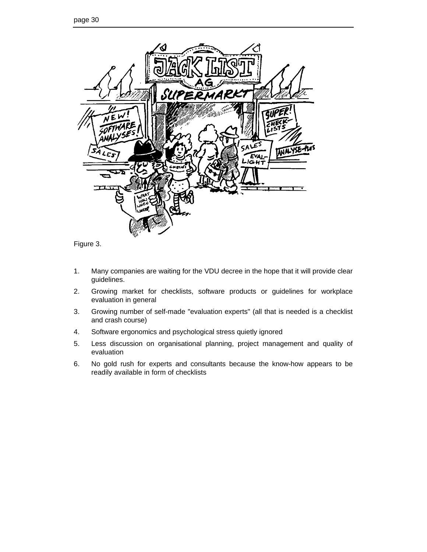



- 1. Many companies are waiting for the VDU decree in the hope that it will provide clear guidelines.
- 2. Growing market for checklists, software products or guidelines for workplace evaluation in general
- 3. Growing number of self-made "evaluation experts" (all that is needed is a checklist and crash course)
- 4. Software ergonomics and psychological stress quietly ignored
- 5. Less discussion on organisational planning, project management and quality of evaluation
- 6. No gold rush for experts and consultants because the know-how appears to be readily available in form of checklists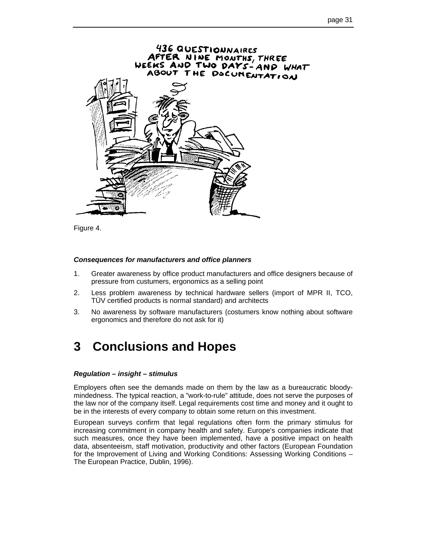

Figure 4.

#### *Consequences for manufacturers and office planners*

- 1. Greater awareness by office product manufacturers and office designers because of pressure from custumers, ergonomics as a selling point
- 2. Less problem awareness by technical hardware sellers (import of MPR II, TCO, TÜV certified products is normal standard) and architects
- 3. No awareness by software manufacturers (costumers know nothing about software ergonomics and therefore do not ask for it)

## **3 Conclusions and Hopes**

#### *Regulation – insight – stimulus*

Employers often see the demands made on them by the law as a bureaucratic bloodymindedness. The typical reaction, a "work-to-rule" attitude, does not serve the purposes of the law nor of the company itself. Legal requirements cost time and money and it ought to be in the interests of every company to obtain some return on this investment.

European surveys confirm that legal regulations often form the primary stimulus for increasing commitment in company health and safety. Europe's companies indicate that such measures, once they have been implemented, have a positive impact on health data, absenteeism, staff motivation, productivity and other factors (European Foundation for the Improvement of Living and Working Conditions: Assessing Working Conditions – The European Practice, Dublin, 1996).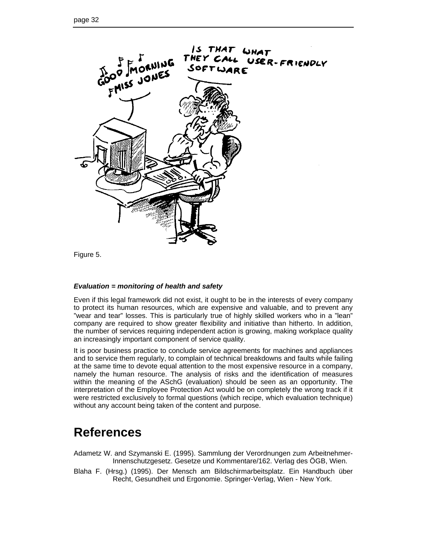

Figure 5.

### *Evaluation = monitoring of health and safety*

Even if this legal framework did not exist, it ought to be in the interests of every company to protect its human resources, which are expensive and valuable, and to prevent any "wear and tear" losses. This is particularly true of highly skilled workers who in a "lean" company are required to show greater flexibility and initiative than hitherto. In addition, the number of services requiring independent action is growing, making workplace quality an increasingly important component of service quality.

It is poor business practice to conclude service agreements for machines and appliances and to service them regularly, to complain of technical breakdowns and faults while failing at the same time to devote equal attention to the most expensive resource in a company, namely the human resource. The analysis of risks and the identification of measures within the meaning of the ASchG (evaluation) should be seen as an opportunity. The interpretation of the Employee Protection Act would be on completely the wrong track if it were restricted exclusively to formal questions (which recipe, which evaluation technique) without any account being taken of the content and purpose.

## **References**

- Adametz W. and Szymanski E. (1995). Sammlung der Verordnungen zum Arbeitnehmer-Innenschutzgesetz. Gesetze und Kommentare/162. Verlag des ÖGB, Wien.
- Blaha F. (Hrsg.) (1995). Der Mensch am Bildschirmarbeitsplatz. Ein Handbuch über Recht, Gesundheit und Ergonomie. Springer-Verlag, Wien - New York.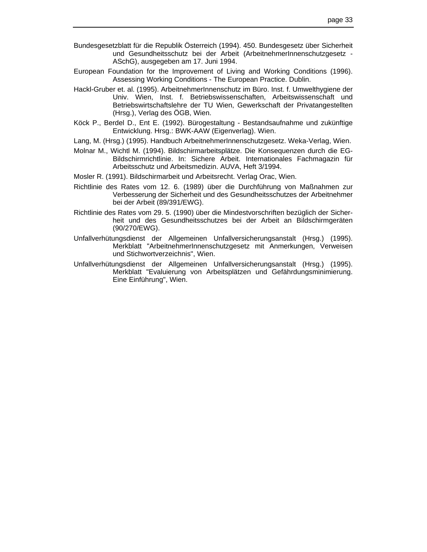- Bundesgesetzblatt für die Republik Österreich (1994). 450. Bundesgesetz über Sicherheit und Gesundheitsschutz bei der Arbeit (ArbeitnehmerInnenschutzgesetz - ASchG), ausgegeben am 17. Juni 1994.
- European Foundation for the Improvement of Living and Working Conditions (1996). Assessing Working Conditions - The European Practice. Dublin.
- Hackl-Gruber et. al. (1995). ArbeitnehmerInnenschutz im Büro. Inst. f. Umwelthygiene der Univ. Wien, Inst. f. Betriebswissenschaften, Arbeitswissenschaft und Betriebswirtschaftslehre der TU Wien, Gewerkschaft der Privatangestellten (Hrsg.), Verlag des ÖGB, Wien.
- Köck P., Berdel D., Ent E. (1992). Bürogestaltung Bestandsaufnahme und zukünftige Entwicklung. Hrsg.: BWK-AAW (Eigenverlag). Wien.
- Lang, M. (Hrsg.) (1995). Handbuch ArbeitnehmerInnenschutzgesetz. Weka-Verlag, Wien.
- Molnar M., Wichtl M. (1994). Bildschirmarbeitsplätze. Die Konsequenzen durch die EG-Bildschirmrichtlinie. In: Sichere Arbeit. Internationales Fachmagazin für Arbeitsschutz und Arbeitsmedizin. AUVA, Heft 3/1994.
- Mosler R. (1991). Bildschirmarbeit und Arbeitsrecht. Verlag Orac, Wien.
- Richtlinie des Rates vom 12. 6. (1989) über die Durchführung von Maßnahmen zur Verbesserung der Sicherheit und des Gesundheitsschutzes der Arbeitnehmer bei der Arbeit (89/391/EWG).
- Richtlinie des Rates vom 29. 5. (1990) über die Mindestvorschriften bezüglich der Sicherheit und des Gesundheitsschutzes bei der Arbeit an Bildschirmgeräten (90/270/EWG).
- Unfallverhütungsdienst der Allgemeinen Unfallversicherungsanstalt (Hrsg.) (1995). Merkblatt "ArbeitnehmerInnenschutzgesetz mit Anmerkungen, Verweisen und Stichwortverzeichnis", Wien.
- Unfallverhütungsdienst der Allgemeinen Unfallversicherungsanstalt (Hrsg.) (1995). Merkblatt "Evaluierung von Arbeitsplätzen und Gefährdungsminimierung. Eine Einführung", Wien.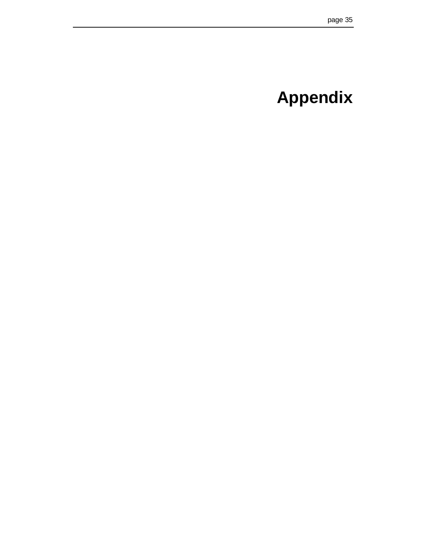# **Appendix**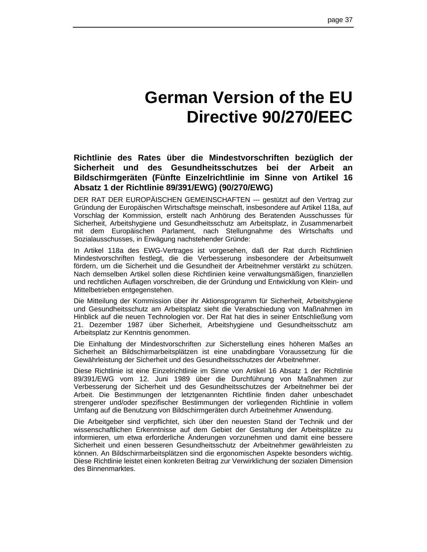# **German Version of the EU Directive 90/270/EEC**

**Richtlinie des Rates über die Mindestvorschriften bezüglich der Sicherheit und des Gesundheitsschutzes bei der Arbeit an Bildschirmgeräten (Fünfte Einzelrichtlinie im Sinne von Artikel 16 Absatz 1 der Richtlinie 89/391/EWG) (90/270/EWG)**

DER RAT DER EUROPÄISCHEN GEMEINSCHAFTEN --- gestützt auf den Vertrag zur Gründung der Europäischen Wirtschaftsge meinschaft, insbesondere auf Artikel 118a, auf Vorschlag der Kommission, erstellt nach Anhörung des Beratenden Ausschusses für Sicherheit, Arbeitshygiene und Gesundheitsschutz am Arbeitsplatz, in Zusammenarbeit mit dem Europäischen Parlament, nach Stellungnahme des Wirtschafts und Sozialausschusses, in Erwägung nachstehender Gründe:

In Artikel 118a des EWG-Vertrages ist vorgesehen, daß der Rat durch Richtlinien Mindestvorschriften festlegt, die die Verbesserung insbesondere der Arbeitsumwelt fördern, um die Sicherheit und die Gesundheit der Arbeitnehmer verstärkt zu schützen. Nach demselben Artikel sollen diese Richtlinien keine verwaltungsmäßigen, finanziellen und rechtlichen Auflagen vorschreiben, die der Gründung und Entwicklung von Klein- und Mittelbetrieben entgegenstehen.

Die Mitteilung der Kommission über ihr Aktionsprogramm für Sicherheit, Arbeitshygiene und Gesundheitsschutz am Arbeitsplatz sieht die Verabschiedung von Maßnahmen im Hinblick auf die neuen Technologien vor. Der Rat hat dies in seiner Entschließung vom 21. Dezember 1987 über Sicherheit, Arbeitshygiene und Gesundheitsschutz am Arbeitsplatz zur Kenntnis genommen.

Die Einhaltung der Mindestvorschriften zur Sicherstellung eines höheren Maßes an Sicherheit an Bildschirmarbeitsplätzen ist eine unabdingbare Voraussetzung für die Gewährleistung der Sicherheit und des Gesundheitsschutzes der Arbeitnehmer.

Diese Richtlinie ist eine Einzelrichtlinie im Sinne von Artikel 16 Absatz 1 der Richtlinie 89/391/EWG vom 12. Juni 1989 über die Durchführung von Maßnahmen zur Verbesserung der Sicherheit und des Gesundheitsschutzes der Arbeitnehmer bei der Arbeit. Die Bestimmungen der letztgenannten Richtlinie finden daher unbeschadet strengerer und/oder spezifischer Bestimmungen der vorliegenden Richtlinie in vollem Umfang auf die Benutzung von Bildschirmgeräten durch Arbeitnehmer Anwendung.

Die Arbeitgeber sind verpflichtet, sich über den neuesten Stand der Technik und der wissenschaftlichen Erkenntnisse auf dem Gebiet der Gestaltung der Arbeitsplätze zu informieren, um etwa erforderliche Änderungen vorzunehmen und damit eine bessere Sicherheit und einen besseren Gesundheitsschutz der Arbeitnehmer gewährleisten zu können. An Bildschirmarbeitsplätzen sind die ergonomischen Aspekte besonders wichtig. Diese Richtlinie leistet einen konkreten Beitrag zur Verwirklichung der sozialen Dimension des Binnenmarktes.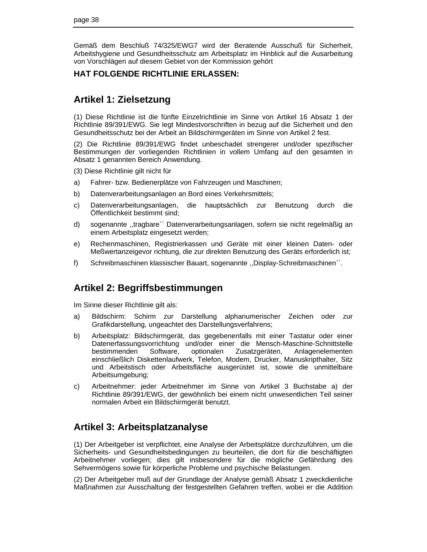Gemäß dem Beschluß 74/325/EWG7 wird der Beratende Ausschuß für Sicherheit, Arbeitshygiene und Gesundheitsschutz am Arbeitsplatz im Hinblick auf die Ausarbeitung von Vorschlägen auf diesem Gebiet von der Kommission gehört

## **HAT FOLGENDE RICHTLINIE ERLASSEN:**

## **Artikel 1: Zielsetzung**

(1) Diese Richtlinie ist die fünfte Einzelrichtlinie im Sinne von Artikel 16 Absatz 1 der Richtlinie 89/391/EWG. Sie legt Mindestvorschriften in bezug auf die Sicherheit und den Gesundheitsschutz bei der Arbeit an Bildschirmgeräten im Sinne von Artikel 2 fest.

(2) Die Richtlinie 89/391/EWG findet unbeschadet strengerer und/oder spezifischer Bestimmungen der vorliegenden Richtlinien in vollem Umfang auf den gesamten in Absatz 1 genannten Bereich Anwendung.

(3) Diese Richtlinie gilt nicht für

- a) Fahrer- bzw. Bedienerplätze von Fahrzeugen und Maschinen;
- b) Datenverarbeitungsanlagen an Bord eines Verkehrsmittels;
- c) Datenverarbeitungsanlagen, die hauptsächlich zur Benutzung durch die Öffentlichkeit bestimmt sind;
- d) sogenannte ,,tragbare`` Datenverarbeitungsanlagen, sofern sie nicht regelmäßig an einem Arbeitsplatz eingesetzt werden;
- e) Rechenmaschinen, Registrierkassen und Geräte mit einer kleinen Daten- oder Meßwertanzeigevor richtung, die zur direkten Benutzung des Geräts erforderlich ist;
- f) Schreibmaschinen klassischer Bauart, sogenannte ,,Display-Schreibmaschinen``.

## **Artikel 2: Begriffsbestimmungen**

Im Sinne dieser Richtlinie gilt als:

- a) Bildschirm: Schirm zur Darstellung alphanumerischer Zeichen oder zur Grafikdarstellung, ungeachtet des Darstellungsverfahrens;
- b) Arbeitsplatz: Bildschirmgerät, das gegebenenfalls mit einer Tastatur oder einer Datenerfassungsvorrichtung und/oder einer die Mensch-Maschine-Schnittstelle bestimmenden Software, optionalen Zusatzgeräten, Anlagenelementen einschließlich Diskettenlaufwerk, Telefon, Modem, Drucker, Manuskripthalter, Sitz und Arbeitstisch oder Arbeitsfläche ausgerüstet ist, sowie die unmittelbare Arbeitsumgebung;
- c) Arbeitnehmer: jeder Arbeitnehmer im Sinne von Artikel 3 Buchstabe a) der Richtlinie 89/391/EWG, der gewöhnlich bei einem nicht unwesentlichen Teil seiner normalen Arbeit ein Bildschirmgerät benutzt.

## **Artikel 3: Arbeitsplatzanalyse**

(1) Der Arbeitgeber ist verpflichtet, eine Analyse der Arbeitsplätze durchzuführen, um die Sicherheits- und Gesundheitsbedingungen zu beurteilen, die dort für die beschäftigten Arbeitnehmer vorliegen; dies gilt insbesondere für die mögliche Gefährdung des Sehvermögens sowie für körperliche Probleme und psychische Belastungen.

(2) Der Arbeitgeber muß auf der Grundlage der Analyse gemäß Absatz 1 zweckdienliche Maßnahmen zur Ausschaltung der festgestellten Gefahren treffen, wobei er die Addition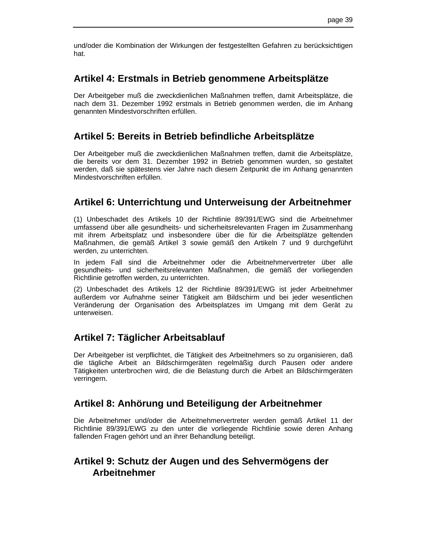und/oder die Kombination der Wirkungen der festgestellten Gefahren zu berücksichtigen hat.

## **Artikel 4: Erstmals in Betrieb genommene Arbeitsplätze**

Der Arbeitgeber muß die zweckdienlichen Maßnahmen treffen, damit Arbeitsplätze, die nach dem 31. Dezember 1992 erstmals in Betrieb genommen werden, die im Anhang genannten Mindestvorschriften erfüllen.

## **Artikel 5: Bereits in Betrieb befindliche Arbeitsplätze**

Der Arbeitgeber muß die zweckdienlichen Maßnahmen treffen, damit die Arbeitsplätze, die bereits vor dem 31. Dezember 1992 in Betrieb genommen wurden, so gestaltet werden, daß sie spätestens vier Jahre nach diesem Zeitpunkt die im Anhang genannten Mindestvorschriften erfüllen.

## **Artikel 6: Unterrichtung und Unterweisung der Arbeitnehmer**

(1) Unbeschadet des Artikels 10 der Richtlinie 89/391/EWG sind die Arbeitnehmer umfassend über alle gesundheits- und sicherheitsrelevanten Fragen im Zusammenhang mit ihrem Arbeitsplatz und insbesondere über die für die Arbeitsplätze geltenden Maßnahmen, die gemäß Artikel 3 sowie gemäß den Artikeln 7 und 9 durchgeführt werden, zu unterrichten.

In jedem Fall sind die Arbeitnehmer oder die Arbeitnehmervertreter über alle gesundheits- und sicherheitsrelevanten Maßnahmen, die gemäß der vorliegenden Richtlinie getroffen werden, zu unterrichten.

(2) Unbeschadet des Artikels 12 der Richtlinie 89/391/EWG ist jeder Arbeitnehmer außerdem vor Aufnahme seiner Tätigkeit am Bildschirm und bei jeder wesentlichen Veränderung der Organisation des Arbeitsplatzes im Umgang mit dem Gerät zu unterweisen.

## **Artikel 7: Täglicher Arbeitsablauf**

Der Arbeitgeber ist verpflichtet, die Tätigkeit des Arbeitnehmers so zu organisieren, daß die tägliche Arbeit an Bildschirmgeräten regelmäßig durch Pausen oder andere Tätigkeiten unterbrochen wird, die die Belastung durch die Arbeit an Bildschirmgeräten verringern.

## **Artikel 8: Anhörung und Beteiligung der Arbeitnehmer**

Die Arbeitnehmer und/oder die Arbeitnehmervertreter werden gemäß Artikel 11 der Richtlinie 89/391/EWG zu den unter die vorliegende Richtlinie sowie deren Anhang fallenden Fragen gehört und an ihrer Behandlung beteiligt.

## **Artikel 9: Schutz der Augen und des Sehvermögens der Arbeitnehmer**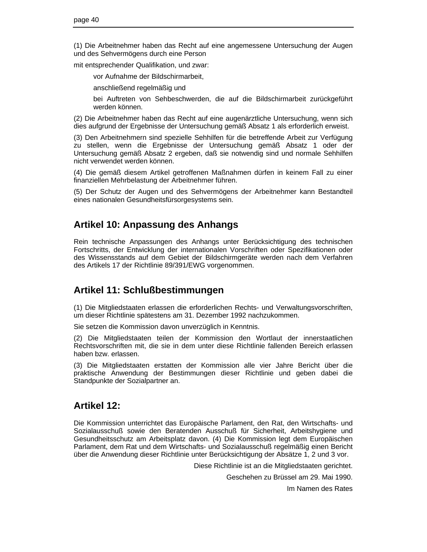(1) Die Arbeitnehmer haben das Recht auf eine angemessene Untersuchung der Augen und des Sehvermögens durch eine Person

mit entsprechender Qualifikation, und zwar:

vor Aufnahme der Bildschirmarbeit,

anschließend regelmäßig und

bei Auftreten von Sehbeschwerden, die auf die Bildschirmarbeit zurückgeführt werden können.

(2) Die Arbeitnehmer haben das Recht auf eine augenärztliche Untersuchung, wenn sich dies aufgrund der Ergebnisse der Untersuchung gemäß Absatz 1 als erforderlich erweist.

(3) Den Arbeitnehmern sind spezielle Sehhilfen für die betreffende Arbeit zur Verfügung zu stellen, wenn die Ergebnisse der Untersuchung gemäß Absatz 1 oder der Untersuchung gemäß Absatz 2 ergeben, daß sie notwendig sind und normale Sehhilfen nicht verwendet werden können.

(4) Die gemäß diesem Artikel getroffenen Maßnahmen dürfen in keinem Fall zu einer finanziellen Mehrbelastung der Arbeitnehmer führen.

(5) Der Schutz der Augen und des Sehvermögens der Arbeitnehmer kann Bestandteil eines nationalen Gesundheitsfürsorgesystems sein.

## **Artikel 10: Anpassung des Anhangs**

Rein technische Anpassungen des Anhangs unter Berücksichtigung des technischen Fortschritts, der Entwicklung der internationalen Vorschriften oder Spezifikationen oder des Wissensstands auf dem Gebiet der Bildschirmgeräte werden nach dem Verfahren des Artikels 17 der Richtlinie 89/391/EWG vorgenommen.

## **Artikel 11: Schlußbestimmungen**

(1) Die Mitgliedstaaten erlassen die erforderlichen Rechts- und Verwaltungsvorschriften, um dieser Richtlinie spätestens am 31. Dezember 1992 nachzukommen.

Sie setzen die Kommission davon unverzüglich in Kenntnis.

(2) Die Mitgliedstaaten teilen der Kommission den Wortlaut der innerstaatlichen Rechtsvorschriften mit, die sie in dem unter diese Richtlinie fallenden Bereich erlassen haben bzw. erlassen.

(3) Die Mitgliedstaaten erstatten der Kommission alle vier Jahre Bericht über die praktische Anwendung der Bestimmungen dieser Richtlinie und geben dabei die Standpunkte der Sozialpartner an.

## **Artikel 12:**

Die Kommission unterrichtet das Europäische Parlament, den Rat, den Wirtschafts- und Sozialausschuß sowie den Beratenden Ausschuß für Sicherheit, Arbeitshygiene und Gesundheitsschutz am Arbeitsplatz davon. (4) Die Kommission legt dem Europäischen Parlament, dem Rat und dem Wirtschafts- und Sozialausschuß regelmäßig einen Bericht über die Anwendung dieser Richtlinie unter Berücksichtigung der Absätze 1, 2 und 3 vor.

Diese Richtlinie ist an die Mitgliedstaaten gerichtet.

Geschehen zu Brüssel am 29. Mai 1990.

Im Namen des Rates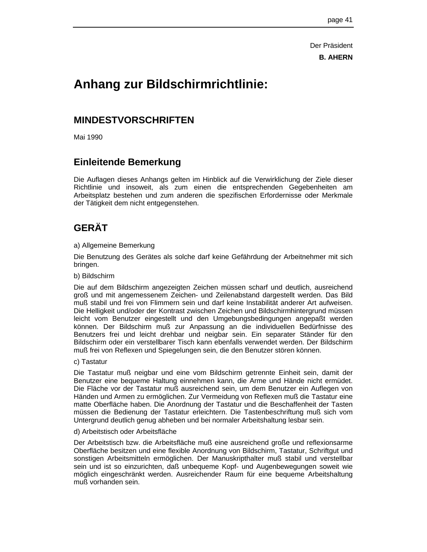Der Präsident **B. AHERN**

## **Anhang zur Bildschirmrichtlinie:**

## **MINDESTVORSCHRIFTEN**

Mai 1990

## **Einleitende Bemerkung**

Die Auflagen dieses Anhangs gelten im Hinblick auf die Verwirklichung der Ziele dieser Richtlinie und insoweit, als zum einen die entsprechenden Gegebenheiten am Arbeitsplatz bestehen und zum anderen die spezifischen Erfordernisse oder Merkmale der Tätigkeit dem nicht entgegenstehen.

## **GERÄT**

### a) Allgemeine Bemerkung

Die Benutzung des Gerätes als solche darf keine Gefährdung der Arbeitnehmer mit sich bringen.

### b) Bildschirm

Die auf dem Bildschirm angezeigten Zeichen müssen scharf und deutlich, ausreichend groß und mit angemessenem Zeichen- und Zeilenabstand dargestellt werden. Das Bild muß stabil und frei von Flimmern sein und darf keine Instabilität anderer Art aufweisen. Die Helligkeit und/oder der Kontrast zwischen Zeichen und Bildschirmhintergrund müssen leicht vom Benutzer eingestellt und den Umgebungsbedingungen angepaßt werden können. Der Bildschirm muß zur Anpassung an die individuellen Bedürfnisse des Benutzers frei und leicht drehbar und neigbar sein. Ein separater Ständer für den Bildschirm oder ein verstellbarer Tisch kann ebenfalls verwendet werden. Der Bildschirm muß frei von Reflexen und Spiegelungen sein, die den Benutzer stören können.

### c) Tastatur

Die Tastatur muß neigbar und eine vom Bildschirm getrennte Einheit sein, damit der Benutzer eine bequeme Haltung einnehmen kann, die Arme und Hände nicht ermüdet. Die Fläche vor der Tastatur muß ausreichend sein, um dem Benutzer ein Auflegen von Händen und Armen zu ermöglichen. Zur Vermeidung von Reflexen muß die Tastatur eine matte Oberfläche haben. Die Anordnung der Tastatur und die Beschaffenheit der Tasten müssen die Bedienung der Tastatur erleichtern. Die Tastenbeschriftung muß sich vom Untergrund deutlich genug abheben und bei normaler Arbeitshaltung lesbar sein.

### d) Arbeitstisch oder Arbeitsfläche

Der Arbeitstisch bzw. die Arbeitsfläche muß eine ausreichend große und reflexionsarme Oberfläche besitzen und eine flexible Anordnung von Bildschirm, Tastatur, Schriftgut und sonstigen Arbeitsmitteln ermöglichen. Der Manuskripthalter muß stabil und verstellbar sein und ist so einzurichten, daß unbequeme Kopf- und Augenbewegungen soweit wie möglich eingeschränkt werden. Ausreichender Raum für eine bequeme Arbeitshaltung muß vorhanden sein.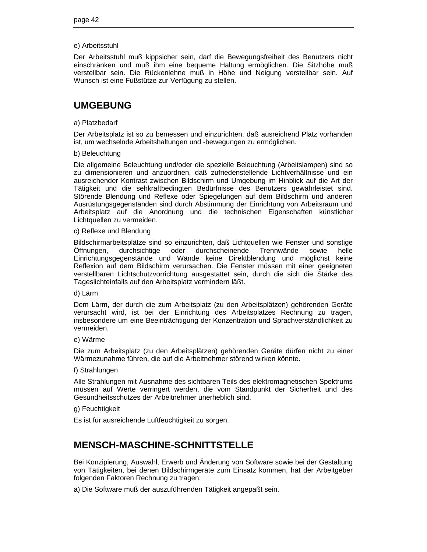### e) Arbeitsstuhl

Der Arbeitsstuhl muß kippsicher sein, darf die Bewegungsfreiheit des Benutzers nicht einschränken und muß ihm eine bequeme Haltung ermöglichen. Die Sitzhöhe muß verstellbar sein. Die Rückenlehne muß in Höhe und Neigung verstellbar sein. Auf Wunsch ist eine Fußstütze zur Verfügung zu stellen.

## **UMGEBUNG**

### a) Platzbedarf

Der Arbeitsplatz ist so zu bemessen und einzurichten, daß ausreichend Platz vorhanden ist, um wechselnde Arbeitshaltungen und -bewegungen zu ermöglichen.

### b) Beleuchtung

Die allgemeine Beleuchtung und/oder die spezielle Beleuchtung (Arbeitslampen) sind so zu dimensionieren und anzuordnen, daß zufriedenstellende Lichtverhältnisse und ein ausreichender Kontrast zwischen Bildschirm und Umgebung im Hinblick auf die Art der Tätigkeit und die sehkraftbedingten Bedürfnisse des Benutzers gewährleistet sind. Störende Blendung und Reflexe oder Spiegelungen auf dem Bildschirm und anderen Ausrüstungsgegenständen sind durch Abstimmung der Einrichtung von Arbeitsraum und Arbeitsplatz auf die Anordnung und die technischen Eigenschaften künstlicher Lichtquellen zu vermeiden.

#### c) Reflexe und Blendung

Bildschirmarbeitsplätze sind so einzurichten, daß Lichtquellen wie Fenster und sonstige Öffnungen, durchsichtige oder durchscheinende Trennwände sowie helle Einrichtungsgegenstände und Wände keine Direktblendung und möglichst keine Reflexion auf dem Bildschirm verursachen. Die Fenster müssen mit einer geeigneten verstellbaren Lichtschutzvorrichtung ausgestattet sein, durch die sich die Stärke des Tageslichteinfalls auf den Arbeitsplatz vermindern läßt.

#### d) Lärm

Dem Lärm, der durch die zum Arbeitsplatz (zu den Arbeitsplätzen) gehörenden Geräte verursacht wird, ist bei der Einrichtung des Arbeitsplatzes Rechnung zu tragen, insbesondere um eine Beeinträchtigung der Konzentration und Sprachverständlichkeit zu vermeiden.

### e) Wärme

Die zum Arbeitsplatz (zu den Arbeitsplätzen) gehörenden Geräte dürfen nicht zu einer Wärmezunahme führen, die auf die Arbeitnehmer störend wirken könnte.

### f) Strahlungen

Alle Strahlungen mit Ausnahme des sichtbaren Teils des elektromagnetischen Spektrums müssen auf Werte verringert werden, die vom Standpunkt der Sicherheit und des Gesundheitsschutzes der Arbeitnehmer unerheblich sind.

### g) Feuchtigkeit

Es ist für ausreichende Luftfeuchtigkeit zu sorgen.

## **MENSCH-MASCHINE-SCHNITTSTELLE**

Bei Konzipierung, Auswahl, Erwerb und Änderung von Software sowie bei der Gestaltung von Tätigkeiten, bei denen Bildschirmgeräte zum Einsatz kommen, hat der Arbeitgeber folgenden Faktoren Rechnung zu tragen:

a) Die Software muß der auszuführenden Tätigkeit angepaßt sein.